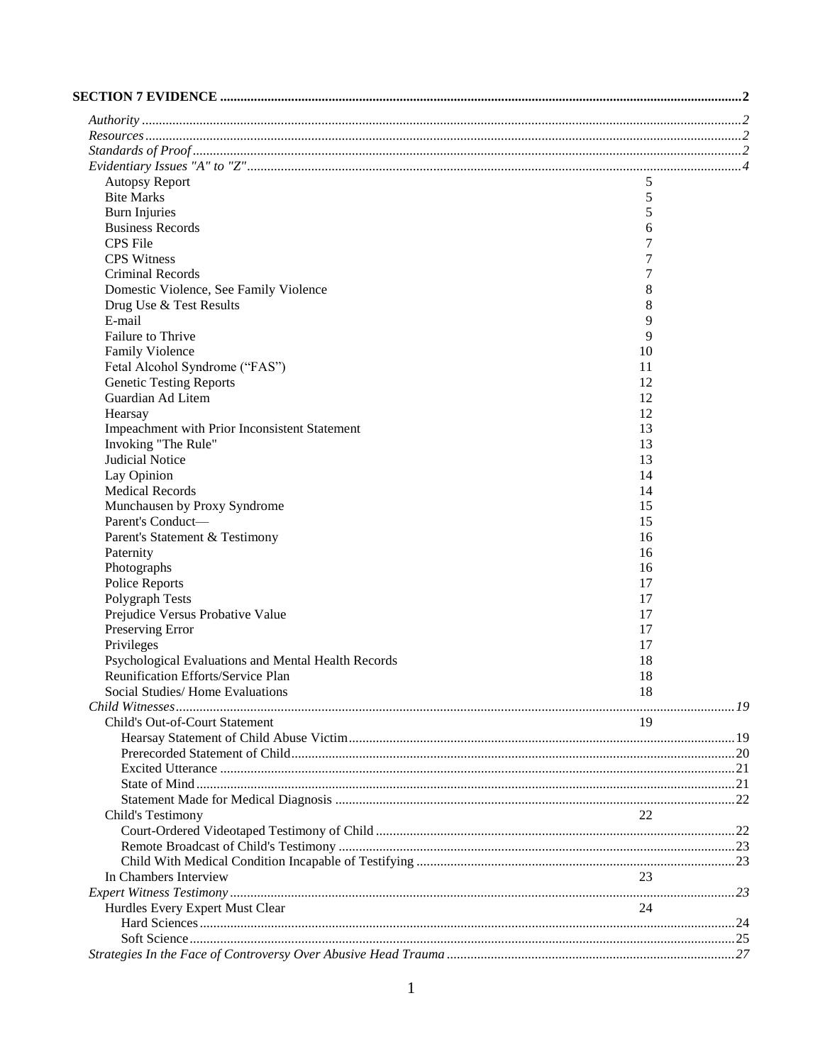| <b>Autopsy Report</b>                               | 5                |  |
|-----------------------------------------------------|------------------|--|
| <b>Bite Marks</b>                                   | 5                |  |
| <b>Burn Injuries</b>                                | 5                |  |
| <b>Business Records</b>                             | 6                |  |
| <b>CPS</b> File                                     | 7                |  |
| <b>CPS</b> Witness                                  | 7                |  |
| Criminal Records                                    | $\boldsymbol{7}$ |  |
| Domestic Violence, See Family Violence              | 8                |  |
| Drug Use & Test Results                             | 8                |  |
| E-mail                                              | 9                |  |
| Failure to Thrive                                   | 9                |  |
| <b>Family Violence</b>                              | 10               |  |
| Fetal Alcohol Syndrome ("FAS")                      | 11               |  |
| <b>Genetic Testing Reports</b>                      | 12               |  |
| Guardian Ad Litem                                   | 12               |  |
| Hearsay                                             | 12               |  |
| Impeachment with Prior Inconsistent Statement       | 13               |  |
| Invoking "The Rule"                                 | 13               |  |
| Judicial Notice                                     | 13               |  |
| Lay Opinion                                         | 14               |  |
| <b>Medical Records</b>                              | 14               |  |
| Munchausen by Proxy Syndrome                        | 15               |  |
| Parent's Conduct-                                   | 15               |  |
| Parent's Statement & Testimony                      | 16               |  |
| Paternity                                           | 16               |  |
| Photographs                                         | 16               |  |
| Police Reports                                      | 17               |  |
| Polygraph Tests                                     | 17               |  |
| Prejudice Versus Probative Value                    | 17               |  |
| Preserving Error                                    | 17               |  |
| Privileges                                          | 17               |  |
| Psychological Evaluations and Mental Health Records | 18               |  |
| Reunification Efforts/Service Plan                  | 18               |  |
| Social Studies/Home Evaluations                     | 18               |  |
|                                                     |                  |  |
| Child's Out-of-Court Statement                      | 19               |  |
|                                                     |                  |  |
|                                                     |                  |  |
|                                                     |                  |  |
|                                                     |                  |  |
|                                                     |                  |  |
| Child's Testimony                                   | 22               |  |
|                                                     |                  |  |
|                                                     |                  |  |
|                                                     |                  |  |
| In Chambers Interview                               | 23               |  |
|                                                     |                  |  |
| Hurdles Every Expert Must Clear                     | 24               |  |
|                                                     |                  |  |
|                                                     |                  |  |
|                                                     |                  |  |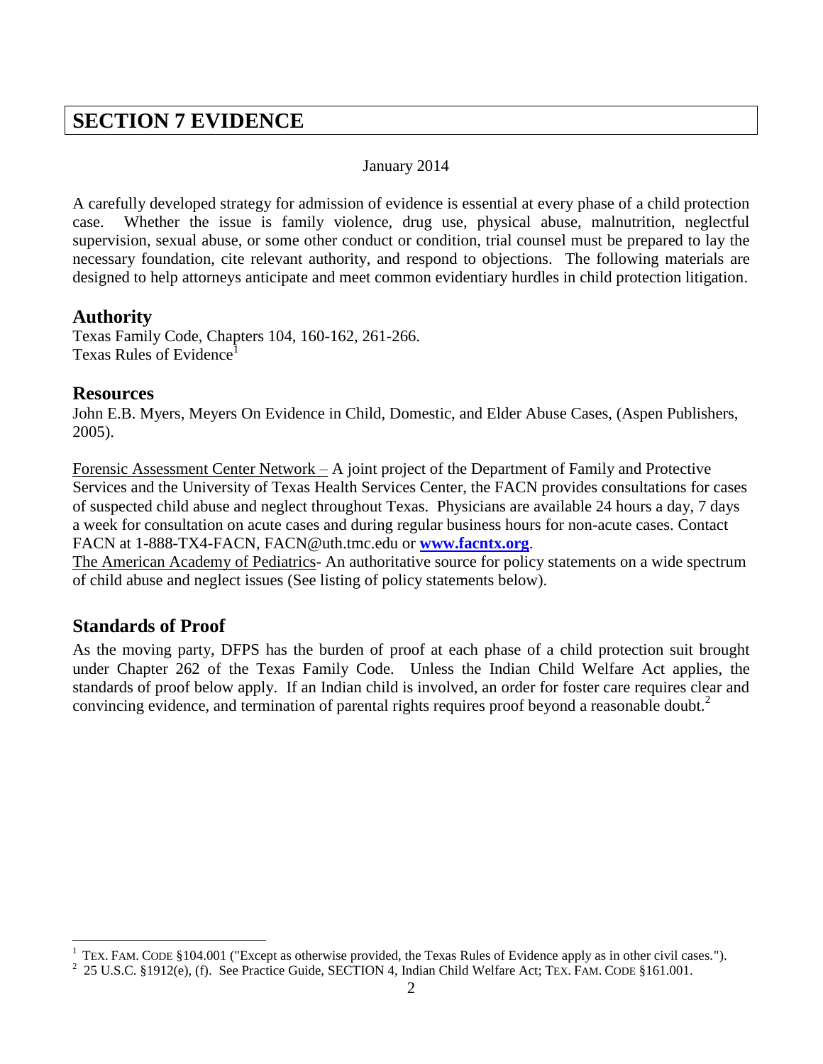# <span id="page-1-0"></span>**SECTION 7 EVIDENCE**

## January 2014

A carefully developed strategy for admission of evidence is essential at every phase of a child protection case. Whether the issue is family violence, drug use, physical abuse, malnutrition, neglectful supervision, sexual abuse, or some other conduct or condition, trial counsel must be prepared to lay the necessary foundation, cite relevant authority, and respond to objections. The following materials are designed to help attorneys anticipate and meet common evidentiary hurdles in child protection litigation.

## <span id="page-1-1"></span>**Authority**

Texas Family Code, Chapters 104, 160-162, 261-266. Texas Rules of Evidence

## <span id="page-1-2"></span>**Resources**

John E.B. Myers, Meyers On Evidence in Child, Domestic, and Elder Abuse Cases, (Aspen Publishers, 2005).

Forensic Assessment Center Network – A joint project of the Department of Family and Protective Services and the University of Texas Health Services Center, the FACN provides consultations for cases of suspected child abuse and neglect throughout Texas. Physicians are available 24 hours a day, 7 days a week for consultation on acute cases and during regular business hours for non-acute cases. Contact FACN at 1-888-TX4-FACN, FACN@uth.tmc.edu or **[www.facntx.org](http://www.facntx.org/)**.

The American Academy of Pediatrics- An authoritative source for policy statements on a wide spectrum of child abuse and neglect issues (See listing of policy statements below).

# <span id="page-1-3"></span>**Standards of Proof**

 $\overline{a}$ 

As the moving party, DFPS has the burden of proof at each phase of a child protection suit brought under Chapter 262 of the Texas Family Code. Unless the Indian Child Welfare Act applies, the standards of proof below apply. If an Indian child is involved, an order for foster care requires clear and convincing evidence, and termination of parental rights requires proof beyond a reasonable doubt.<sup>2</sup>

 $1$  TEX. FAM. CODE §104.001 ("Except as otherwise provided, the Texas Rules of Evidence apply as in other civil cases.").

<sup>&</sup>lt;sup>2</sup> 25 U.S.C. §1912(e), (f). See Practice Guide, SECTION 4, Indian Child Welfare Act; TEX. FAM. CODE §161.001.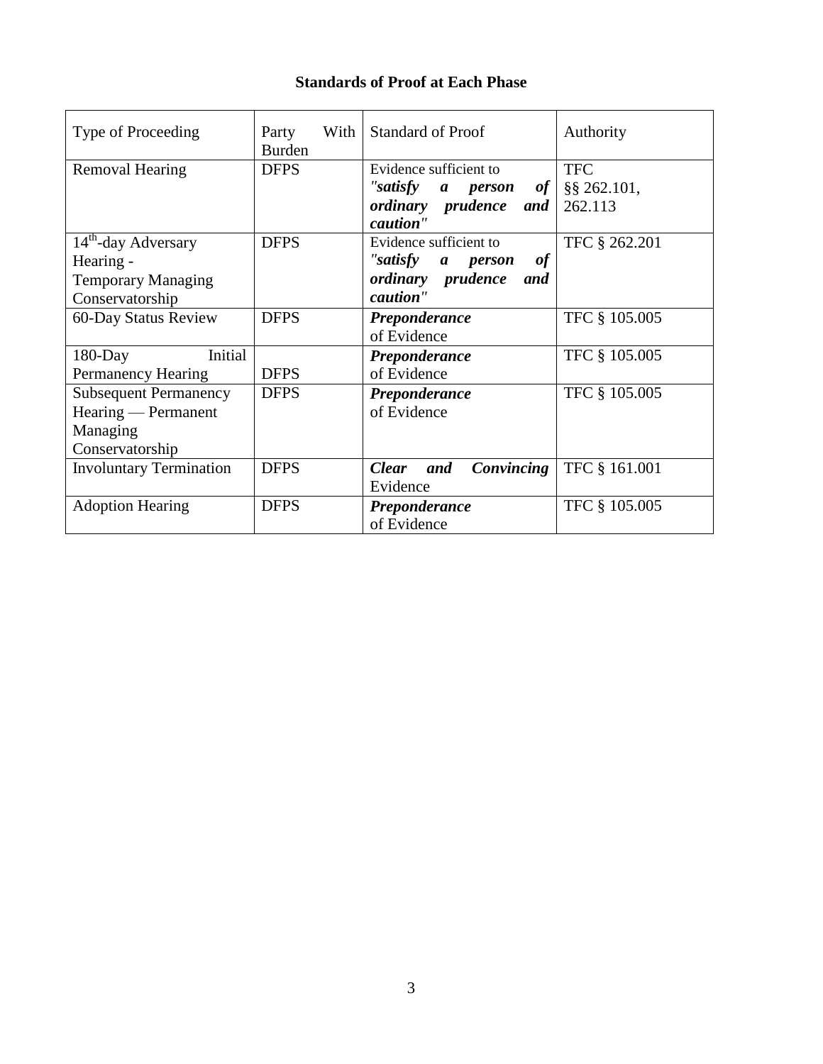## **Standards of Proof at Each Phase**

| Type of Proceeding                                                                           | With<br>Party<br><b>Burden</b> | <b>Standard of Proof</b>                                                                                      | Authority                               |
|----------------------------------------------------------------------------------------------|--------------------------------|---------------------------------------------------------------------------------------------------------------|-----------------------------------------|
| <b>Removal Hearing</b>                                                                       | <b>DFPS</b>                    | Evidence sufficient to<br>"satisfy a person<br>of <sub>l</sub><br><i>ordinary prudence</i><br>and<br>caution" | <b>TFC</b><br>$§$ § 262.101,<br>262.113 |
| 14 <sup>th</sup> -day Adversary<br>Hearing -<br><b>Temporary Managing</b><br>Conservatorship | <b>DFPS</b>                    | Evidence sufficient to<br>"satisfy a person<br>of<br>ordinary prudence<br>and<br>caution"                     | TFC § 262.201                           |
| 60-Day Status Review                                                                         | <b>DFPS</b>                    | Preponderance<br>of Evidence                                                                                  | TFC § 105.005                           |
| Initial<br>$180$ -Day<br>Permanency Hearing                                                  | <b>DFPS</b>                    | Preponderance<br>of Evidence                                                                                  | TFC § 105.005                           |
| <b>Subsequent Permanency</b><br>Hearing — Permanent<br>Managing<br>Conservatorship           | <b>DFPS</b>                    | Preponderance<br>of Evidence                                                                                  | TFC § 105.005                           |
| <b>Involuntary Termination</b>                                                               | <b>DFPS</b>                    | Convincing<br><b>Clear</b><br>and<br>Evidence                                                                 | TFC § 161.001                           |
| <b>Adoption Hearing</b>                                                                      | <b>DFPS</b>                    | Preponderance<br>of Evidence                                                                                  | TFC § 105.005                           |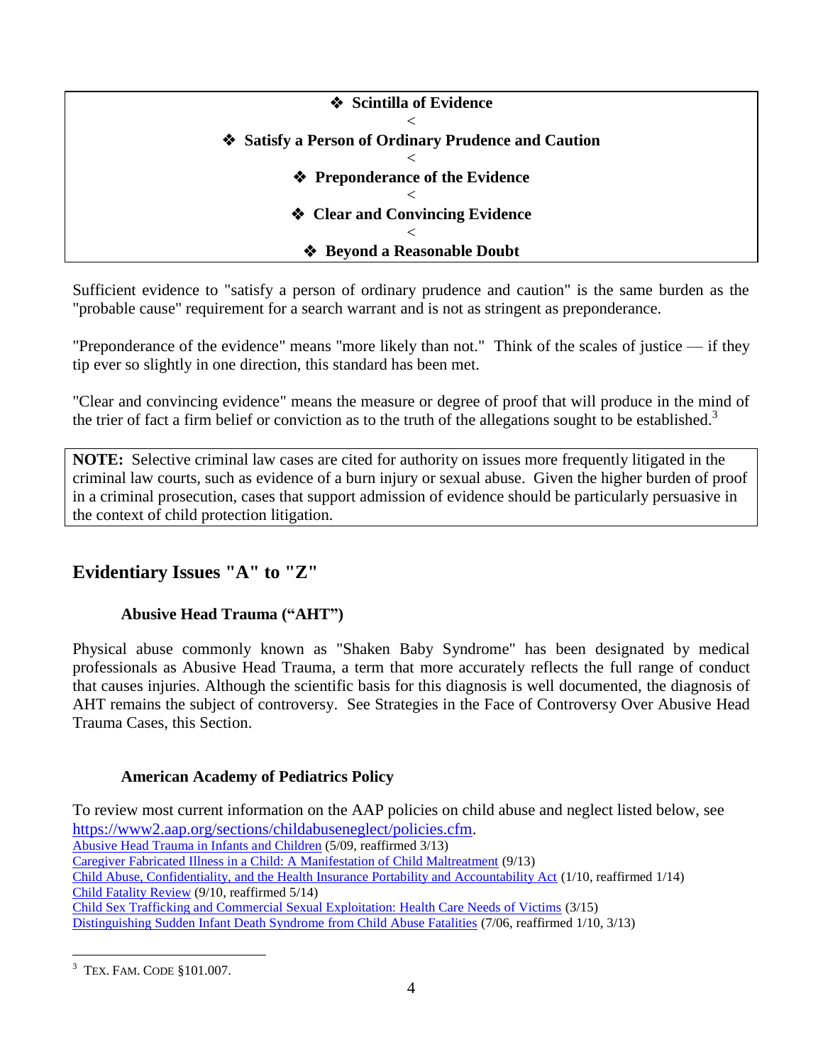| ❖ Scintilla of Evidence                           |
|---------------------------------------------------|
|                                                   |
| Satisfy a Person of Ordinary Prudence and Caution |
|                                                   |
| ❖ Preponderance of the Evidence                   |
|                                                   |
| ❖ Clear and Convincing Evidence                   |
|                                                   |
| ❖ Beyond a Reasonable Doubt                       |

Sufficient evidence to "satisfy a person of ordinary prudence and caution" is the same burden as the "probable cause" requirement for a search warrant and is not as stringent as preponderance.

"Preponderance of the evidence" means "more likely than not." Think of the scales of justice — if they tip ever so slightly in one direction, this standard has been met.

"Clear and convincing evidence" means the measure or degree of proof that will produce in the mind of the trier of fact a firm belief or conviction as to the truth of the allegations sought to be established.<sup>3</sup>

**NOTE:** Selective criminal law cases are cited for authority on issues more frequently litigated in the criminal law courts, such as evidence of a burn injury or sexual abuse. Given the higher burden of proof in a criminal prosecution, cases that support admission of evidence should be particularly persuasive in the context of child protection litigation.

# <span id="page-3-0"></span>**Evidentiary Issues "A" to "Z"**

## **Abusive Head Trauma ("AHT")**

Physical abuse commonly known as "Shaken Baby Syndrome" has been designated by medical professionals as Abusive Head Trauma, a term that more accurately reflects the full range of conduct that causes injuries. Although the scientific basis for this diagnosis is well documented, the diagnosis of AHT remains the subject of controversy. See Strategies in the Face of Controversy Over Abusive Head Trauma Cases, this Section.

## **American Academy of Pediatrics Policy**

To review most current information on the AAP policies on child abuse and neglect listed below, see [https://www2.aap.org/sections/childabuseneglect/policies.cfm.](https://www2.aap.org/sections/childabuseneglect/policies.cfm) [Abusive Head Trauma in Infants and Children](http://pediatrics.aappublications.org/content/123/5/1409.full) (5/09, reaffirmed 3/13) [Caregiver Fabricated Illness in a Child: A Manifestation of Child Maltreatment](http://pediatrics.aappublications.org/content/132/3/590.full) (9/13) [Child Abuse, Confidentiality, and the Health Insurance Portability and Accountability Act](http://pediatrics.aappublications.org/content/125/1/197.full) (1/10, reaffirmed 1/14) [Child Fatality Review](http://pediatrics.aappublications.org/content/126/3/592.full) (9/10, reaffirmed 5/14) [Child Sex Trafficking and Commercial Sexual Exploitation: Health Care Needs of Victims](http://pediatrics.aappublications.org/content/135/3/566) (3/15) [Distinguishing Sudden Infant Death Syndrome from Child Abuse Fatalities](http://pediatrics.aappublications.org/content/118/1/421.full?sid=ea4f2d55-7213-4e80-bc1f-6ffa3beca874) (7/06, reaffirmed 1/10, 3/13)

 $\overline{a}$ <sup>3</sup> TEX. FAM. CODE §101.007.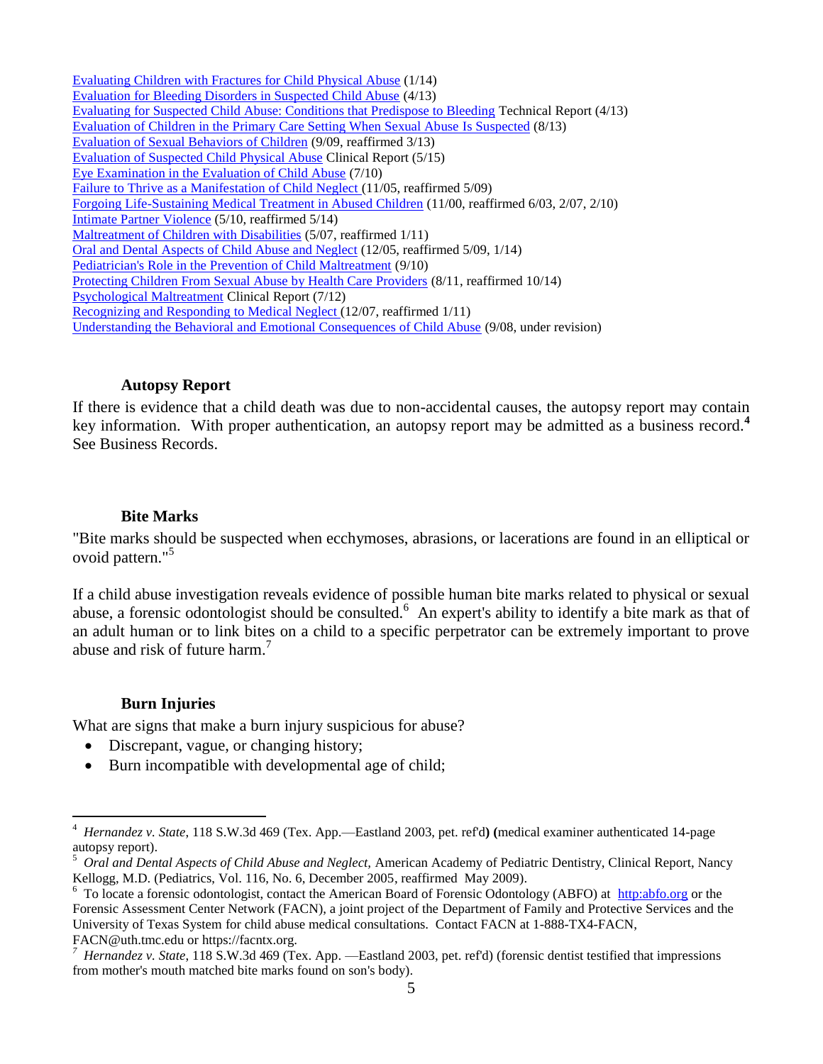[Evaluating Children with Fractures for Child Physical Abuse](http://pediatrics.aappublications.org/content/133/2/e477.full) (1/14) [Evaluation for Bleeding Disorders in Suspected Child Abuse](http://pediatrics.aappublications.org/content/131/4/e1314.abstract?rss=1) (4/13) [Evaluating for Suspected Child Abuse: Conditions that Predispose to Bleeding](http://pediatrics.aappublications.org/content/131/4/e1357.abstract) Technical Report (4/13) [Evaluation of Children in the Primary Care Setting When Sexual Abuse Is Suspected](http://pediatrics.aappublications.org/content/132/2/e558.full) (8/13) [Evaluation of Sexual Behaviors of Children](http://pediatrics.aappublications.org/content/124/3/992.full) (9/09, reaffirmed 3/13) [Evaluation of Suspected Child Physical Abuse](http://pediatrics.aappublications.org/content/135/5/e1337.full) Clinical Report (5/15) [Eye Examination in the Evaluation of Child Abuse](http://pediatrics.aappublications.org/content/126/2/376.full?sid=ce0157aa-ca60-428d-87c3-39546c6b61eb.) (7/10) [Failure to Thrive as a Manifestation of Child Neglect \(](http://pediatrics.aappublications.org/content/116/5/1234.full?sid=fb77eeb3-60f8-4cfd-93ad-3321df7f540e)11/05, reaffirmed 5/09) [Forgoing Life-Sustaining Medical Treatment in Abused Children](http://pediatrics.aappublications.org/content/106/5/1151.full?sid=38812997-1806-45ef-bf92-9f5f876a6a93) (11/00, reaffirmed 6/03, 2/07, 2/10) [Intimate Partner](http://pediatrics.aappublications.org/content/early/2010/04/26/peds.2010-0451.abstract) Violence (5/10, reaffirmed 5/14) [Maltreatment of Children with Disabilities](http://pediatrics.aappublications.org/content/119/5/1018.full?sid=9f6f3804-5c38-40ef-acbc-89ecaa9050e2) (5/07, reaffirmed 1/11) [Oral and Dental Aspects of Child Abuse and Neglect](http://pediatrics.aappublications.org/content/116/6/1565.full?sid=3d2c00c2-c6be-4969-b636-e243da12ee40) (12/05, reaffirmed 5/09, 1/14) [Pediatrician's Role in the Prevention of Child Maltreatment](http://pediatrics.aappublications.org/content/126/4/833.full) (9/10) [Protecting Children From Sexual Abuse by Health Care Providers](http://pediatrics.aappublications.org/content/128/2/407.full?sid=02aa47ba-d6de-4ee8-ab99-3b6adaa47475) (8/11, reaffirmed 10/14) [Psychological Maltreatment](http://pediatrics.aappublications.org/content/130/2/372.full) Clinical Report (7/12) [Recognizing and Responding to Medical Neglect \(](http://pediatrics.aappublications.org/content/120/6/1385.full)12/07, reaffirmed 1/11) [Understanding the Behavioral and Emotional Consequences of Child Abuse](http://pediatrics.aappublications.org/content/122/3/667.full?sid=926eaba7-117a-42d2-b94a-573b09f4846f) (9/08, under revision)

#### **Autopsy Report**

<span id="page-4-0"></span>If there is evidence that a child death was due to non-accidental causes, the autopsy report may contain key information. With proper authentication, an autopsy report may be admitted as a business record.**<sup>4</sup>** See Business Records.

#### **Bite Marks**

<span id="page-4-1"></span>"Bite marks should be suspected when ecchymoses, abrasions, or lacerations are found in an elliptical or ovoid pattern." 5

If a child abuse investigation reveals evidence of possible human bite marks related to physical or sexual abuse, a forensic odontologist should be consulted.<sup>6</sup> An expert's ability to identify a bite mark as that of an adult human or to link bites on a child to a specific perpetrator can be extremely important to prove abuse and risk of future harm.<sup>7</sup>

## **Burn Injuries**

 $\overline{a}$ 

<span id="page-4-2"></span>What are signs that make a burn injury suspicious for abuse?

- Discrepant, vague, or changing history;
- Burn incompatible with developmental age of child;

<sup>4</sup>  *Hernandez v. State*, 118 S.W.3d 469 (Tex. App.—Eastland 2003, pet. ref'd**) (**medical examiner authenticated 14-page autopsy report).

<sup>5</sup> *Oral and Dental Aspects of Child Abuse and Neglect,* American Academy of Pediatric Dentistry, Clinical Report, Nancy Kellogg, M.D. (Pediatrics, Vol. 116, No. 6, December 2005, reaffirmed May 2009).

<sup>&</sup>lt;sup>6</sup> To locate a forensic odontologist, contact the American Board of Forensic Odontology (ABFO) at [http:abfo.org](http://www.abfo.org/) or the Forensic Assessment Center Network (FACN), a joint project of the Department of Family and Protective Services and the University of Texas System for child abuse medical consultations. Contact FACN at 1-888-TX4-FACN, FACN@uth.tmc.edu or https://facntx.org.

*<sup>7</sup> Hernandez v. State*, 118 S.W.3d 469 (Tex. App. —Eastland 2003, pet. ref'd) (forensic dentist testified that impressions from mother's mouth matched bite marks found on son's body).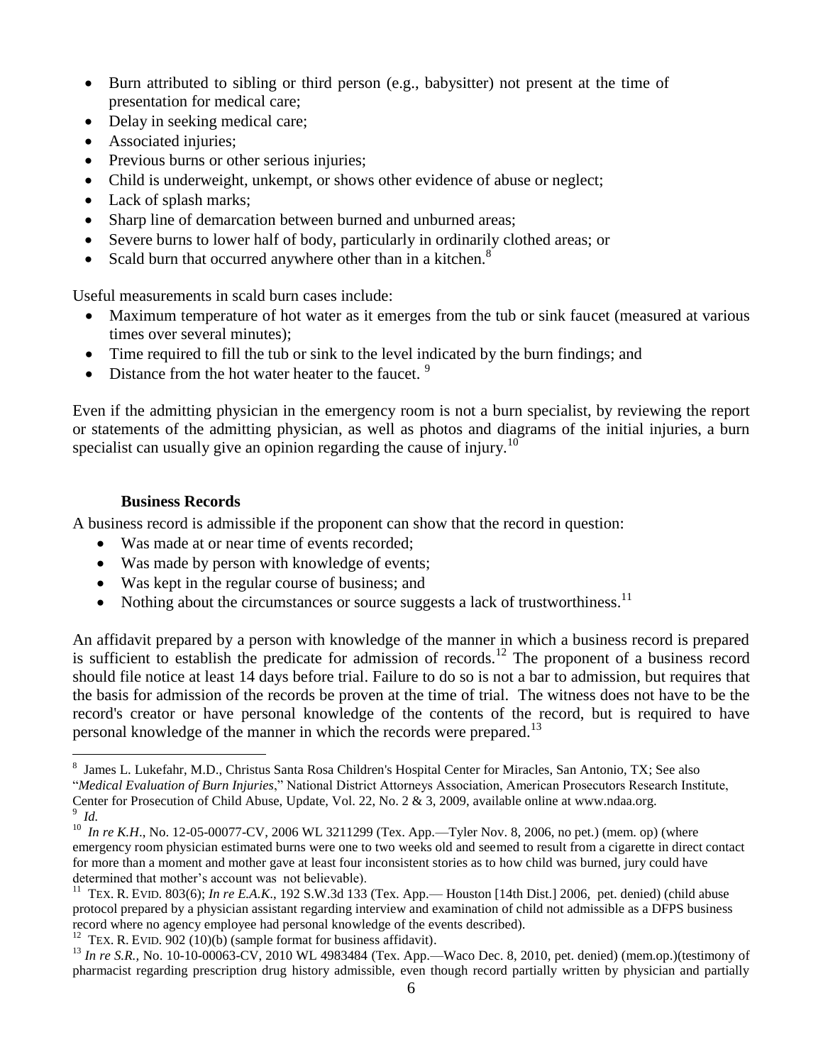- Burn attributed to sibling or third person (e.g., babysitter) not present at the time of presentation for medical care;
- Delay in seeking medical care;
- Associated injuries;
- Previous burns or other serious injuries;
- Child is underweight, unkempt, or shows other evidence of abuse or neglect;
- Lack of splash marks;
- Sharp line of demarcation between burned and unburned areas;
- Severe burns to lower half of body, particularly in ordinarily clothed areas; or
- Scald burn that occurred anywhere other than in a kitchen.<sup>8</sup>

Useful measurements in scald burn cases include:

- Maximum temperature of hot water as it emerges from the tub or sink faucet (measured at various times over several minutes);
- Time required to fill the tub or sink to the level indicated by the burn findings; and
- Distance from the hot water heater to the faucet.  $9$

Even if the admitting physician in the emergency room is not a burn specialist, by reviewing the report or statements of the admitting physician, as well as photos and diagrams of the initial injuries, a burn specialist can usually give an opinion regarding the cause of injury.<sup>10</sup>

## **Business Records**

 $\overline{a}$ 

<span id="page-5-0"></span>A business record is admissible if the proponent can show that the record in question:

- Was made at or near time of events recorded;
- Was made by person with knowledge of events;
- Was kept in the regular course of business; and
- Nothing about the circumstances or source suggests a lack of trustworthiness.<sup>11</sup>

An affidavit prepared by a person with knowledge of the manner in which a business record is prepared is sufficient to establish the predicate for admission of records.<sup>12</sup> The proponent of a business record should file notice at least 14 days before trial. Failure to do so is not a bar to admission, but requires that the basis for admission of the records be proven at the time of trial. The witness does not have to be the record's creator or have personal knowledge of the contents of the record, but is required to have personal knowledge of the manner in which the records were prepared.<sup>13</sup>

<sup>12</sup> TEX. R. EVID. 902 (10)(b) (sample format for business affidavit).

<sup>&</sup>lt;sup>8</sup> James L. Lukefahr, M.D., Christus Santa Rosa Children's Hospital Center for Miracles, San Antonio, TX; See also "*Medical Evaluation of Burn Injuries*," National District Attorneys Association, American Prosecutors Research Institute, Center for Prosecution of Child Abuse, Update, Vol. 22, No. 2 & 3, 2009, available online at www.ndaa.org. 9 *Id.*

<sup>&</sup>lt;sup>10</sup> In re K.H., No. 12-05-00077-CV, 2006 WL 3211299 (Tex. App.—Tyler Nov. 8, 2006, no pet.) (mem. op) (where emergency room physician estimated burns were one to two weeks old and seemed to result from a cigarette in direct contact for more than a moment and mother gave at least four inconsistent stories as to how child was burned, jury could have determined that mother's account was not believable).

<sup>&</sup>lt;sup>11</sup> TEX. R. EVID. 803(6); *In re E.A.K.*, 192 S.W.3d 133 (Tex. App.— Houston [14th Dist.] 2006, pet. denied) (child abuse protocol prepared by a physician assistant regarding interview and examination of child not admissible as a DFPS business record where no agency employee had personal knowledge of the events described).

<sup>13</sup> *In re S.R.,* No. 10-10-00063-CV, 2010 WL 4983484 (Tex. App.—Waco Dec. 8, 2010, pet. denied) (mem.op.)(testimony of pharmacist regarding prescription drug history admissible, even though record partially written by physician and partially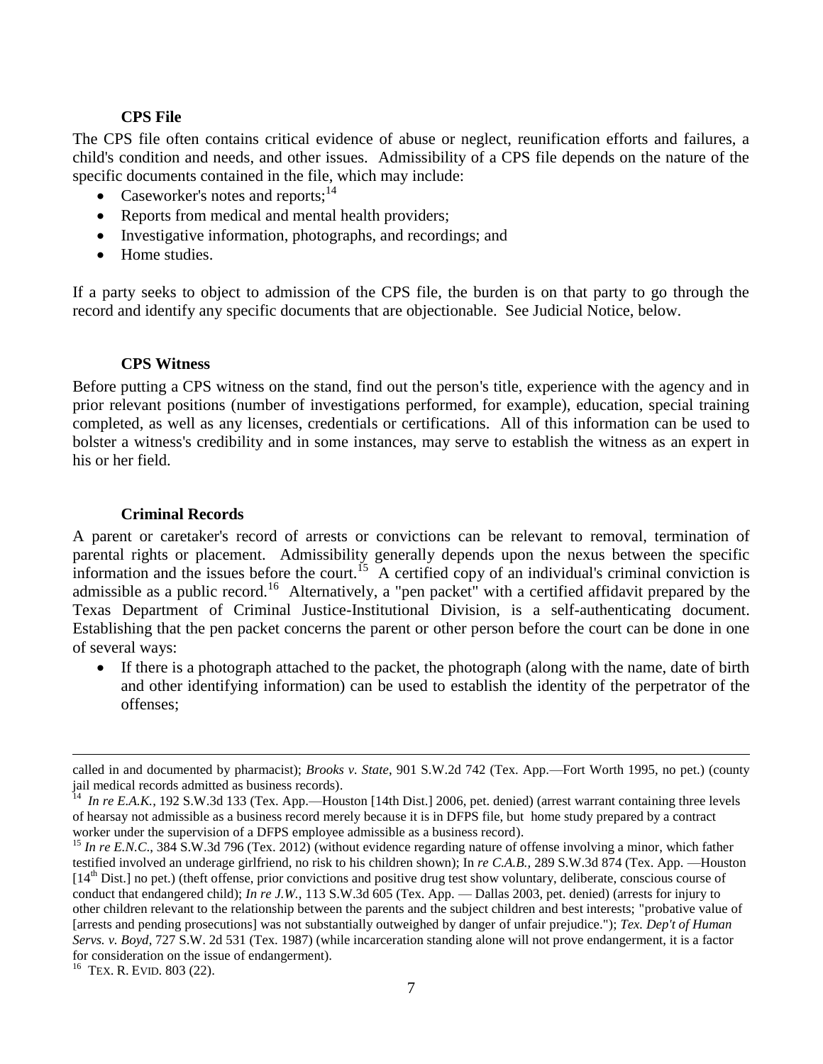#### **CPS File**

<span id="page-6-0"></span>The CPS file often contains critical evidence of abuse or neglect, reunification efforts and failures, a child's condition and needs, and other issues. Admissibility of a CPS file depends on the nature of the specific documents contained in the file, which may include:

- Caseworker's notes and reports; $14$
- Reports from medical and mental health providers;
- Investigative information, photographs, and recordings; and
- Home studies.

If a party seeks to object to admission of the CPS file, the burden is on that party to go through the record and identify any specific documents that are objectionable. See Judicial Notice, below.

#### **CPS Witness**

<span id="page-6-1"></span>Before putting a CPS witness on the stand, find out the person's title, experience with the agency and in prior relevant positions (number of investigations performed, for example), education, special training completed, as well as any licenses, credentials or certifications. All of this information can be used to bolster a witness's credibility and in some instances, may serve to establish the witness as an expert in his or her field.

#### **Criminal Records**

<span id="page-6-2"></span>A parent or caretaker's record of arrests or convictions can be relevant to removal, termination of parental rights or placement. Admissibility generally depends upon the nexus between the specific information and the issues before the court.<sup>15</sup> A certified copy of an individual's criminal conviction is admissible as a public record.<sup>16</sup> Alternatively, a "pen packet" with a certified affidavit prepared by the Texas Department of Criminal Justice-Institutional Division, is a self-authenticating document. Establishing that the pen packet concerns the parent or other person before the court can be done in one of several ways:

 If there is a photograph attached to the packet, the photograph (along with the name, date of birth and other identifying information) can be used to establish the identity of the perpetrator of the offenses;

called in and documented by pharmacist); *Brooks v. State*, 901 S.W.2d 742 (Tex. App.—Fort Worth 1995, no pet.) (county jail medical records admitted as business records).<br> $^{14}$  *In me EA K* 102 S W 2d 122 (Tex. App. How

*In re E.A.K.*, 192 S.W.3d 133 (Tex. App.—Houston [14th Dist.] 2006, pet. denied) (arrest warrant containing three levels of hearsay not admissible as a business record merely because it is in DFPS file, but home study prepared by a contract worker under the supervision of a DFPS employee admissible as a business record).

<sup>&</sup>lt;sup>15</sup> In re E.N.C., 384 S.W.3d 796 (Tex. 2012) (without evidence regarding nature of offense involving a minor, which father testified involved an underage girlfriend, no risk to his children shown); In *re C.A.B.,* 289 S.W.3d 874 (Tex. App. —Houston [14<sup>th</sup> Dist.] no pet.) (theft offense, prior convictions and positive drug test show voluntary, deliberate, conscious course of conduct that endangered child); *In re J.W.,* 113 S.W.3d 605 (Tex. App. — Dallas 2003, pet. denied) (arrests for injury to other children relevant to the relationship between the parents and the subject children and best interests; "probative value of [arrests and pending prosecutions] was not substantially outweighed by danger of unfair prejudice."); *Tex. Dep't of Human Servs. v. Boyd*, 727 S.W. 2d 531 (Tex. 1987) (while incarceration standing alone will not prove endangerment, it is a factor for consideration on the issue of endangerment).

<sup>&</sup>lt;sup>16</sup> TEX. R. EVID. 803 (22).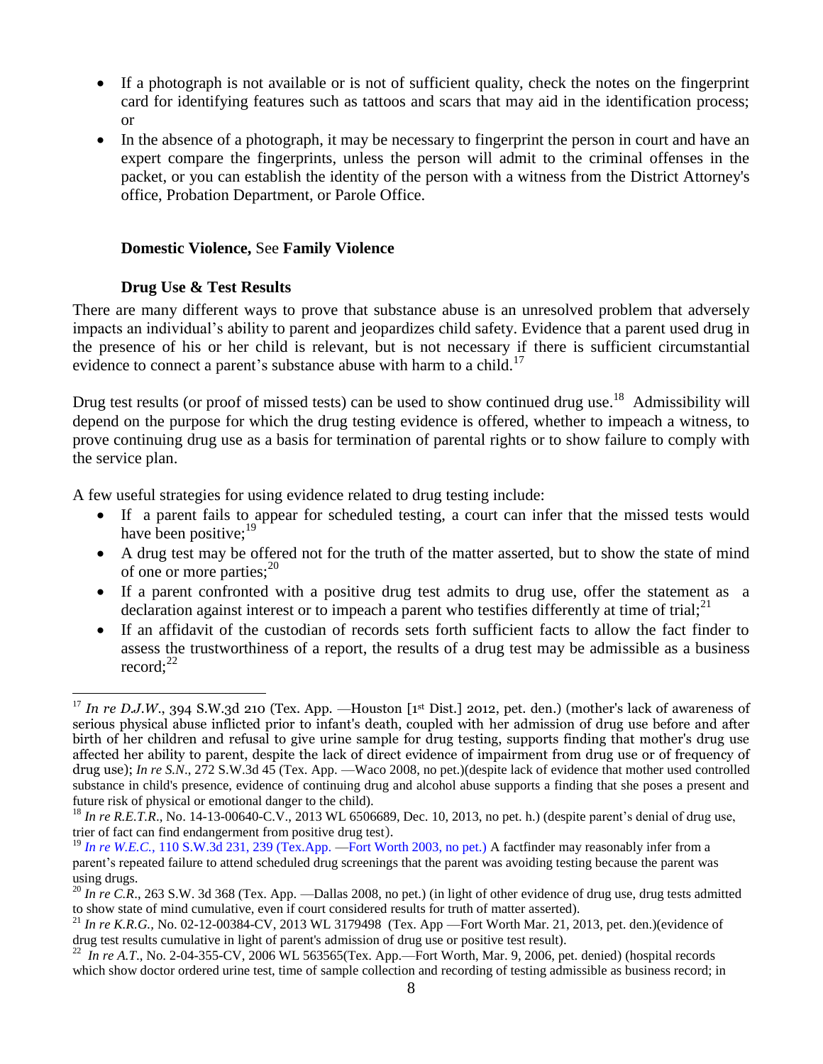- If a photograph is not available or is not of sufficient quality, check the notes on the fingerprint card for identifying features such as tattoos and scars that may aid in the identification process; or
- In the absence of a photograph, it may be necessary to fingerprint the person in court and have an expert compare the fingerprints, unless the person will admit to the criminal offenses in the packet, or you can establish the identity of the person with a witness from the District Attorney's office, Probation Department, or Parole Office.

## <span id="page-7-0"></span>**Domestic Violence,** See **Family Violence**

## **Drug Use & Test Results**

<span id="page-7-1"></span>There are many different ways to prove that substance abuse is an unresolved problem that adversely impacts an individual's ability to parent and jeopardizes child safety. Evidence that a parent used drug in the presence of his or her child is relevant, but is not necessary if there is sufficient circumstantial evidence to connect a parent's substance abuse with harm to a child.<sup>17</sup>

Drug test results (or proof of missed tests) can be used to show continued drug use.<sup>18</sup> Admissibility will depend on the purpose for which the drug testing evidence is offered, whether to impeach a witness, to prove continuing drug use as a basis for termination of parental rights or to show failure to comply with the service plan.

A few useful strategies for using evidence related to drug testing include:

- If a parent fails to appear for scheduled testing, a court can infer that the missed tests would have been positive;<sup>19</sup>
- A drug test may be offered not for the truth of the matter asserted, but to show the state of mind of one or more parties;  $2^{20}$
- If a parent confronted with a positive drug test admits to drug use, offer the statement as a declaration against interest or to impeach a parent who testifies differently at time of trial;<sup>21</sup>
- If an affidavit of the custodian of records sets forth sufficient facts to allow the fact finder to assess the trustworthiness of a report, the results of a drug test may be admissible as a business record: $^{22}$

 $\overline{a}$ <sup>17</sup> In re D.J.W., 394 S.W.3d 210 (Tex. App. —Houston [1<sup>st</sup> Dist.] 2012, pet. den.) (mother's lack of awareness of serious physical abuse inflicted prior to infant's death, coupled with her admission of drug use before and after birth of her children and refusal to give urine sample for drug testing, supports finding that mother's drug use affected her ability to parent, despite the lack of direct evidence of impairment from drug use or of frequency of drug use); *In re S.N.*, 272 S.W.3d 45 (Tex. App. —Waco 2008, no pet.)(despite lack of evidence that mother used controlled substance in child's presence, evidence of continuing drug and alcohol abuse supports a finding that she poses a present and future risk of physical or emotional danger to the child).

<sup>&</sup>lt;sup>18</sup> *In re R.E.T.R.*, No. 14-13-00640-C.V., 2013 WL 6506689, Dec. 10, 2013, no pet. h.) (despite parent's denial of drug use, trier of fact can find endangerment from positive drug test).

<sup>&</sup>lt;sup>19</sup> *In re W.E.C.*, [110 S.W.3d 231, 239 \(Tex.App.](http://www.westlaw.com/Link/Document/FullText?findType=Y&serNum=2003399326&pubNum=4644&originationContext=document&vr=3.0&rs=cblt1.0&transitionType=DocumentItem&contextData=(sc.Keycite)#co_pp_sp_4644_239) —Fort Worth 2003, no pet.) A factfinder may reasonably infer from a parent's repeated failure to attend scheduled drug screenings that the parent was avoiding testing because the parent was using drugs.

 $^{20}$  *In re C.R.*, 263 S.W. 3d 368 (Tex. App. —Dallas 2008, no pet.) (in light of other evidence of drug use, drug tests admitted to show state of mind cumulative, even if court considered results for truth of matter asserted).

<sup>21</sup> *In re K.R.G.,* No. 02-12-00384-CV, 2013 WL 3179498 (Tex. App —Fort Worth Mar. 21, 2013, pet. den.)(evidence of drug test results cumulative in light of parent's admission of drug use or positive test result).

 $^{22}$  *In re A.T.*, No. 2-04-355-CV, 2006 WL 563565(Tex. App.—Fort Worth, Mar. 9, 2006, pet. denied) (hospital records which show doctor ordered urine test, time of sample collection and recording of testing admissible as business record; in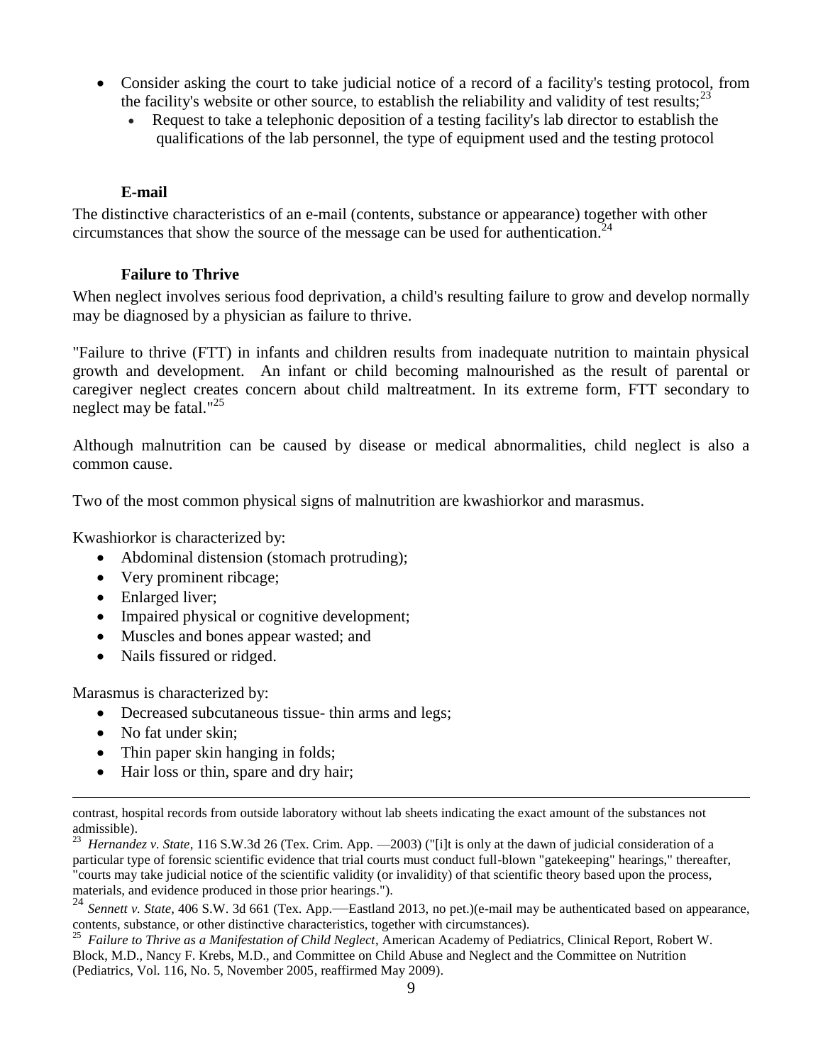- Consider asking the court to take judicial notice of a record of a facility's testing protocol, from the facility's website or other source, to establish the reliability and validity of test results;<sup>23</sup>
	- Request to take a telephonic deposition of a testing facility's lab director to establish the qualifications of the lab personnel, the type of equipment used and the testing protocol

## **E-mail**

<span id="page-8-0"></span>The distinctive characteristics of an e-mail (contents, substance or appearance) together with other circumstances that show the source of the message can be used for authentication. 24

## **Failure to Thrive**

<span id="page-8-1"></span>When neglect involves serious food deprivation, a child's resulting failure to grow and develop normally may be diagnosed by a physician as failure to thrive.

"Failure to thrive (FTT) in infants and children results from inadequate nutrition to maintain physical growth and development. An infant or child becoming malnourished as the result of parental or caregiver neglect creates concern about child maltreatment. In its extreme form, FTT secondary to neglect may be fatal."<sup>25</sup>

Although malnutrition can be caused by disease or medical abnormalities, child neglect is also a common cause.

Two of the most common physical signs of malnutrition are kwashiorkor and marasmus.

Kwashiorkor is characterized by:

- Abdominal distension (stomach protruding);
- Very prominent ribcage;
- Enlarged liver;
- Impaired physical or cognitive development;
- Muscles and bones appear wasted; and
- Nails fissured or ridged.

Marasmus is characterized by:

- Decreased subcutaneous tissue- thin arms and legs;
- No fat under skin;

 $\overline{a}$ 

- Thin paper skin hanging in folds;
- Hair loss or thin, spare and dry hair;

23 *Hernandez v. State*, 116 S.W.3d 26 (Tex. Crim. App. —2003) ("[i]t is only at the dawn of judicial consideration of a particular type of forensic scientific evidence that trial courts must conduct full-blown "gatekeeping" hearings," thereafter, "courts may take judicial notice of the scientific validity (or invalidity) of that scientific theory based upon the process, materials, and evidence produced in those prior hearings.").

<sup>24</sup> Sennett *v. State*, 406 S.W. 3d 661 (Tex. App.—Eastland 2013, no pet.)(e-mail may be authenticated based on appearance, contents, substance, or other distinctive characteristics, together with circumstances).

25  *Failure to Thrive as a Manifestation of Child Neglect*, American Academy of Pediatrics, Clinical Report, Robert W. Block, M.D., Nancy F. Krebs, M.D., and Committee on Child Abuse and Neglect and the Committee on Nutrition (Pediatrics, Vol. 116, No. 5, November 2005, reaffirmed May 2009).

contrast, hospital records from outside laboratory without lab sheets indicating the exact amount of the substances not admissible).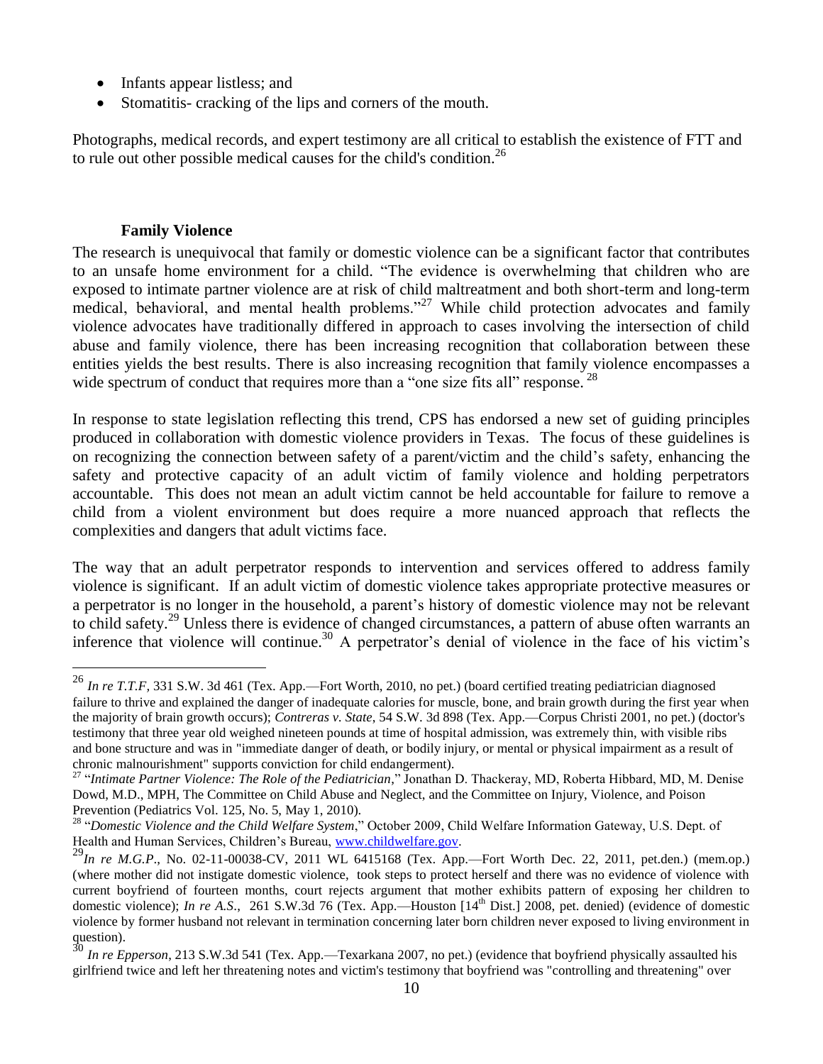- Infants appear listless; and
- Stomatitis- cracking of the lips and corners of the mouth.

Photographs, medical records, and expert testimony are all critical to establish the existence of FTT and to rule out other possible medical causes for the child's condition.<sup>26</sup>

#### **Family Violence**

 $\overline{a}$ 

<span id="page-9-0"></span>The research is unequivocal that family or domestic violence can be a significant factor that contributes to an unsafe home environment for a child. "The evidence is overwhelming that children who are exposed to intimate partner violence are at risk of child maltreatment and both short-term and long-term medical, behavioral, and mental health problems. $^{27}$  While child protection advocates and family violence advocates have traditionally differed in approach to cases involving the intersection of child abuse and family violence, there has been increasing recognition that collaboration between these entities yields the best results. There is also increasing recognition that family violence encompasses a wide spectrum of conduct that requires more than a "one size fits all" response.<sup>28</sup>

In response to state legislation reflecting this trend, CPS has endorsed a new set of guiding principles produced in collaboration with domestic violence providers in Texas. The focus of these guidelines is on recognizing the connection between safety of a parent/victim and the child's safety, enhancing the safety and protective capacity of an adult victim of family violence and holding perpetrators accountable. This does not mean an adult victim cannot be held accountable for failure to remove a child from a violent environment but does require a more nuanced approach that reflects the complexities and dangers that adult victims face.

The way that an adult perpetrator responds to intervention and services offered to address family violence is significant. If an adult victim of domestic violence takes appropriate protective measures or a perpetrator is no longer in the household, a parent's history of domestic violence may not be relevant to child safety.<sup>29</sup> Unless there is evidence of changed circumstances, a pattern of abuse often warrants an inference that violence will continue. <sup>30</sup> A perpetrator's denial of violence in the face of his victim's

<sup>26</sup> *In re T.T.F,* 331 S.W. 3d 461 (Tex. App.—Fort Worth, 2010, no pet.) (board certified treating pediatrician diagnosed failure to thrive and explained the danger of inadequate calories for muscle, bone, and brain growth during the first year when the majority of brain growth occurs); *Contreras v. State*, 54 S.W. 3d 898 (Tex. App.—Corpus Christi 2001, no pet.) (doctor's testimony that three year old weighed nineteen pounds at time of hospital admission, was extremely thin, with visible ribs and bone structure and was in "immediate danger of death, or bodily injury, or mental or physical impairment as a result of chronic malnourishment" supports conviction for child endangerment).

<sup>27</sup> "*Intimate Partner Violence: The Role of the Pediatrician*," Jonathan D. Thackeray, MD, Roberta Hibbard, MD, M. Denise Dowd, M.D., MPH, The Committee on Child Abuse and Neglect, and the Committee on Injury, Violence, and Poison Prevention (Pediatrics Vol. 125, No. 5, May 1, 2010).

<sup>28</sup> "*Domestic Violence and the Child Welfare System*," October 2009, Child Welfare Information Gateway, U.S. Dept. of Health and Human Services, Children's Bureau, [www.childwelfare.gov.](http://www.childwelfare.gov/)

<sup>&</sup>lt;sup>29</sup>*In re M.G.P.*, No. 02-11-00038-CV, 2011 WL 6415168 (Tex. App.—Fort Worth Dec. 22, 2011, pet.den.) (mem.op.) (where mother did not instigate domestic violence, took steps to protect herself and there was no evidence of violence with current boyfriend of fourteen months, court rejects argument that mother exhibits pattern of exposing her children to domestic violence); *In re A.S.*, 261 S.W.3d 76 (Tex. App.—Houston [14<sup>th</sup> Dist.] 2008, pet. denied) (evidence of domestic violence by former husband not relevant in termination concerning later born children never exposed to living environment in question).

<sup>30</sup> *In re Epperson*, 213 S.W.3d 541 (Tex. App.—Texarkana 2007, no pet.) (evidence that boyfriend physically assaulted his girlfriend twice and left her threatening notes and victim's testimony that boyfriend was "controlling and threatening" over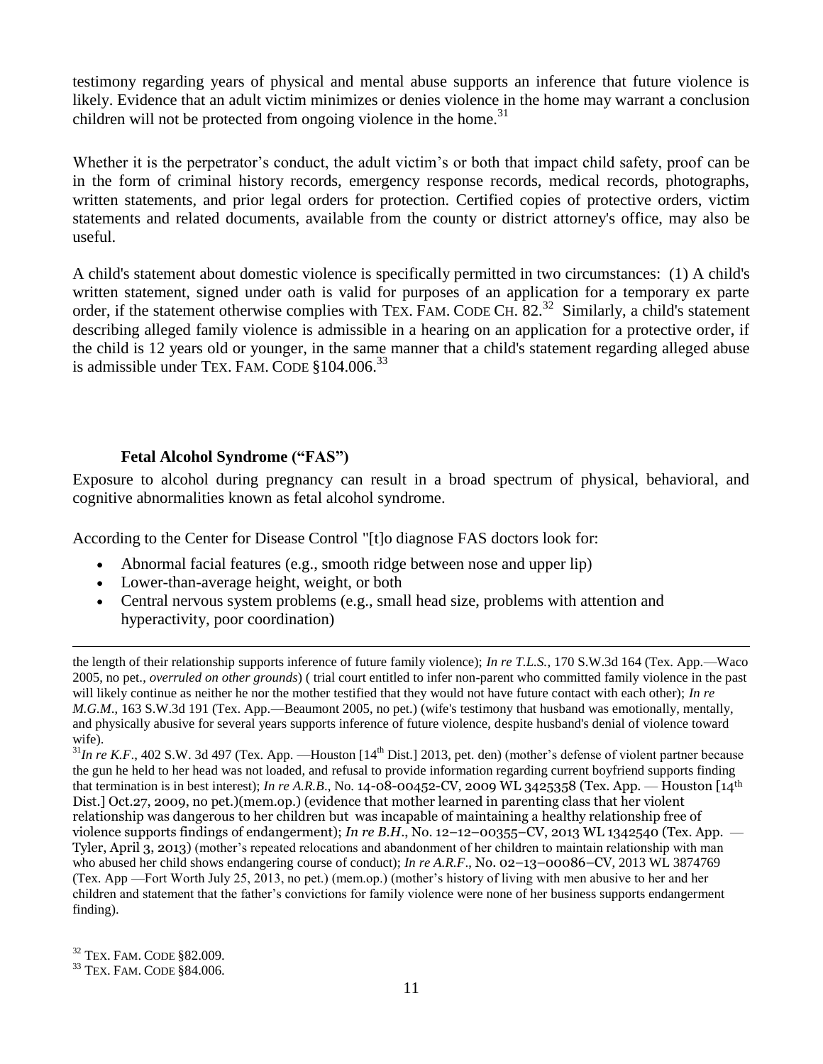testimony regarding years of physical and mental abuse supports an inference that future violence is likely. Evidence that an adult victim minimizes or denies violence in the home may warrant a conclusion children will not be protected from ongoing violence in the home. $31$ 

Whether it is the perpetrator's conduct, the adult victim's or both that impact child safety, proof can be in the form of criminal history records, emergency response records, medical records, photographs, written statements, and prior legal orders for protection. Certified copies of protective orders, victim statements and related documents, available from the county or district attorney's office, may also be useful.

A child's statement about domestic violence is specifically permitted in two circumstances: (1) A child's written statement, signed under oath is valid for purposes of an application for a temporary ex parte order, if the statement otherwise complies with TEX. FAM. CODE CH. 82.<sup>32</sup> Similarly, a child's statement describing alleged family violence is admissible in a hearing on an application for a protective order, if the child is 12 years old or younger, in the same manner that a child's statement regarding alleged abuse is admissible under TEX. FAM. CODE  $$104.006$ <sup>33</sup>

## **Fetal Alcohol Syndrome ("FAS")**

<span id="page-10-0"></span>Exposure to alcohol during pregnancy can result in a broad spectrum of physical, behavioral, and cognitive abnormalities known as fetal alcohol syndrome.

According to the Center for Disease Control "[t]o diagnose FAS doctors look for:

- Abnormal facial features (e.g., smooth ridge between nose and upper lip)
- Lower-than-average height, weight, or both
- Central nervous system problems (e.g., small head size, problems with attention and hyperactivity, poor coordination)

the length of their relationship supports inference of future family violence); *In re T.L.S.*, 170 S.W.3d 164 (Tex. App.—Waco 2005, no pet., *overruled on other grounds*) ( trial court entitled to infer non-parent who committed family violence in the past will likely continue as neither he nor the mother testified that they would not have future contact with each other); *In re M.G.M*., 163 S.W.3d 191 (Tex. App.—Beaumont 2005, no pet.) (wife's testimony that husband was emotionally, mentally, and physically abusive for several years supports inference of future violence, despite husband's denial of violence toward wife).

 $^{31}$ *In re K.F.*, 402 S.W. 3d 497 (Tex. App. —Houston [14<sup>th</sup> Dist.] 2013, pet. den) (mother's defense of violent partner because the gun he held to her head was not loaded, and refusal to provide information regarding current boyfriend supports finding that termination is in best interest); *In re A.R.B.*, No. 14-08-00452-CV, 2009 WL 3425358 (Tex. App. — Houston [14<sup>th</sup>] Dist.] Oct.27, 2009, no pet.)(mem.op.) (evidence that mother learned in parenting class that her violent relationship was dangerous to her children but was incapable of maintaining a healthy relationship free of violence supports findings of endangerment); *In re B.H*., No. 12–12–00355–CV, 2013 WL 1342540 (Tex. App. — Tyler, April 3, 2013) (mother's repeated relocations and abandonment of her children to maintain relationship with man who abused her child shows endangering course of conduct); *In re A.R.F*., No. 02–13–00086–CV, 2013 WL 3874769 (Tex. App —Fort Worth July 25, 2013, no pet.) (mem.op.) (mother's history of living with men abusive to her and her children and statement that the father's convictions for family violence were none of her business supports endangerment finding).

<sup>32</sup> TEX. FAM. CODE §82.009.

<sup>33</sup> TEX. FAM. CODE §84.006.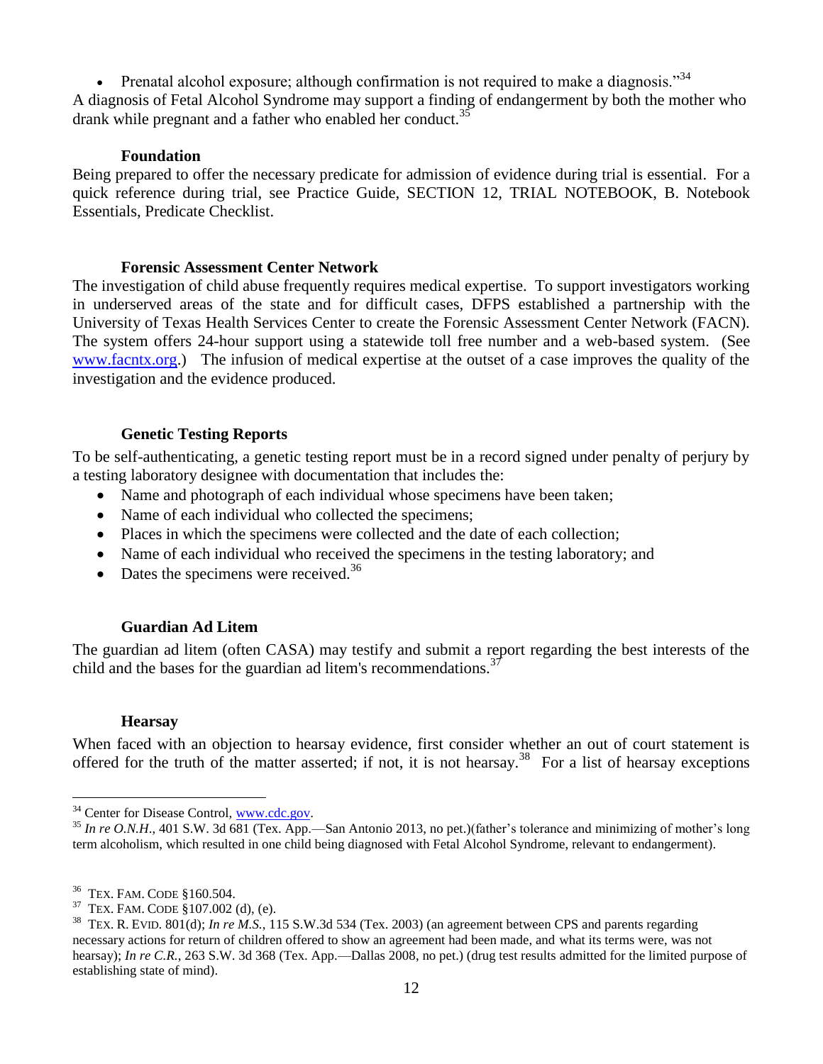Prenatal alcohol exposure; although confirmation is not required to make a diagnosis."<sup>34</sup> A diagnosis of Fetal Alcohol Syndrome may support a finding of endangerment by both the mother who drank while pregnant and a father who enabled her conduct.<sup>35</sup>

#### **Foundation**

Being prepared to offer the necessary predicate for admission of evidence during trial is essential. For a quick reference during trial, see Practice Guide, SECTION 12, TRIAL NOTEBOOK, B. Notebook Essentials, Predicate Checklist.

#### **Forensic Assessment Center Network**

The investigation of child abuse frequently requires medical expertise. To support investigators working in underserved areas of the state and for difficult cases, DFPS established a partnership with the University of Texas Health Services Center to create the Forensic Assessment Center Network (FACN). The system offers 24-hour support using a statewide toll free number and a web-based system. (See [www.facntx.org.](http://www.facntx.org/)) The infusion of medical expertise at the outset of a case improves the quality of the investigation and the evidence produced.

## <span id="page-11-0"></span>**Genetic Testing Reports**

To be self-authenticating, a genetic testing report must be in a record signed under penalty of perjury by a testing laboratory designee with documentation that includes the:

- Name and photograph of each individual whose specimens have been taken;
- Name of each individual who collected the specimens;
- Places in which the specimens were collected and the date of each collection;
- Name of each individual who received the specimens in the testing laboratory; and
- Dates the specimens were received.<sup>36</sup>

## **Guardian Ad Litem**

<span id="page-11-1"></span>The guardian ad litem (often CASA) may testify and submit a report regarding the best interests of the child and the bases for the guardian ad litem's recommendations.<sup>3</sup>

## **Hearsay**

 $\overline{a}$ 

<span id="page-11-2"></span>When faced with an objection to hearsay evidence, first consider whether an out of court statement is offered for the truth of the matter asserted; if not, it is not hearsay.<sup>38</sup> For a list of hearsay exceptions

<sup>&</sup>lt;sup>34</sup> Center for Disease Control, [www.cdc.gov.](http://www.cdc.gov/)

 $35$  *In re O.N.H.*, 401 S.W. 3d 681 (Tex. App.—San Antonio 2013, no pet.)(father's tolerance and minimizing of mother's long term alcoholism, which resulted in one child being diagnosed with Fetal Alcohol Syndrome, relevant to endangerment).

<sup>36</sup> TEX. FAM. CODE §160.504.

<sup>37</sup> TEX. FAM. CODE §107.002 (d), (e).

<sup>38</sup> TEX. R. EVID. 801(d); *In re M.S.*, 115 S.W.3d 534 (Tex. 2003) (an agreement between CPS and parents regarding necessary actions for return of children offered to show an agreement had been made, and what its terms were, was not hearsay); *In re C.R.*, 263 S.W. 3d 368 (Tex. App.—Dallas 2008, no pet.) (drug test results admitted for the limited purpose of establishing state of mind).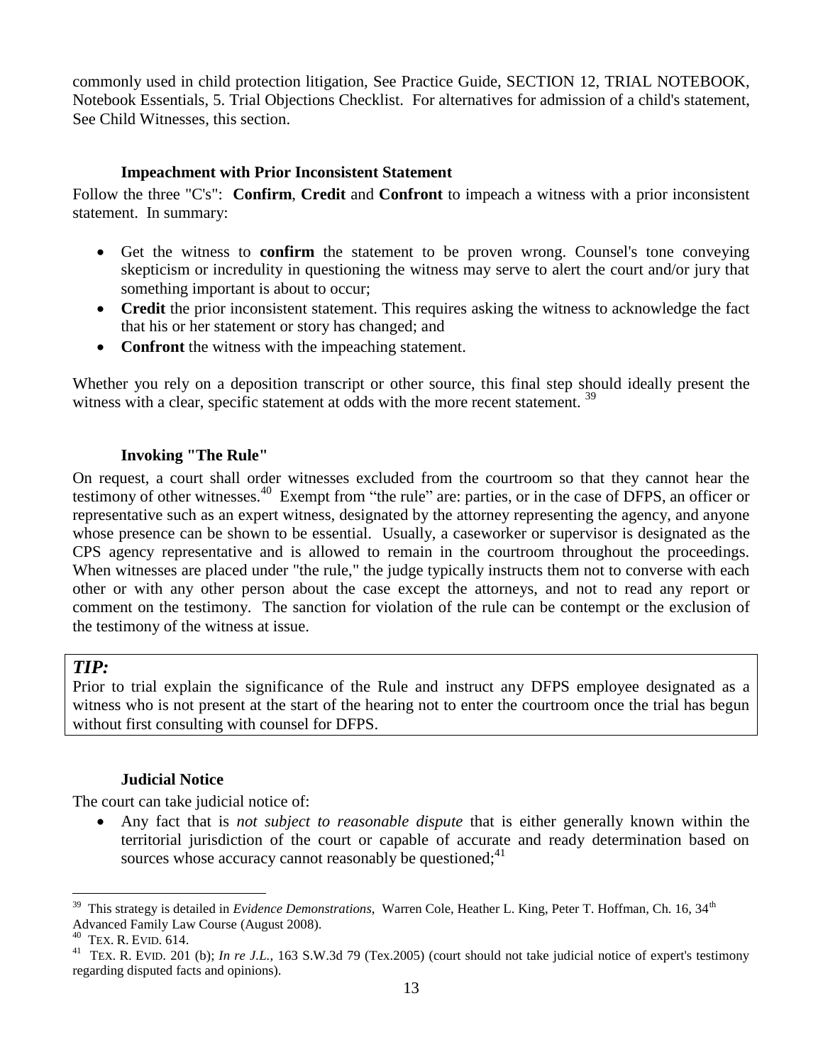commonly used in child protection litigation, See Practice Guide, SECTION 12, TRIAL NOTEBOOK, Notebook Essentials, 5. Trial Objections Checklist. For alternatives for admission of a child's statement, See Child Witnesses, this section.

## **Impeachment with Prior Inconsistent Statement**

<span id="page-12-0"></span>Follow the three "C's": **Confirm**, **Credit** and **Confront** to impeach a witness with a prior inconsistent statement. In summary:

- Get the witness to **confirm** the statement to be proven wrong. Counsel's tone conveying skepticism or incredulity in questioning the witness may serve to alert the court and/or jury that something important is about to occur;
- Credit the prior inconsistent statement. This requires asking the witness to acknowledge the fact that his or her statement or story has changed; and
- **Confront** the witness with the impeaching statement.

Whether you rely on a deposition transcript or other source, this final step should ideally present the witness with a clear, specific statement at odds with the more recent statement.<sup>39</sup>

## **Invoking "The Rule"**

<span id="page-12-1"></span>On request, a court shall order witnesses excluded from the courtroom so that they cannot hear the testimony of other witnesses.<sup>40</sup> Exempt from "the rule" are: parties, or in the case of DFPS, an officer or representative such as an expert witness*,* designated by the attorney representing the agency, and anyone whose presence can be shown to be essential. Usually, a caseworker or supervisor is designated as the CPS agency representative and is allowed to remain in the courtroom throughout the proceedings. When witnesses are placed under "the rule," the judge typically instructs them not to converse with each other or with any other person about the case except the attorneys, and not to read any report or comment on the testimony. The sanction for violation of the rule can be contempt or the exclusion of the testimony of the witness at issue.

## *TIP:*

Prior to trial explain the significance of the Rule and instruct any DFPS employee designated as a witness who is not present at the start of the hearing not to enter the courtroom once the trial has begun without first consulting with counsel for DFPS.

## **Judicial Notice**

<span id="page-12-2"></span>The court can take judicial notice of:

 Any fact that is *not subject to reasonable dispute* that is either generally known within the territorial jurisdiction of the court or capable of accurate and ready determination based on sources whose accuracy cannot reasonably be questioned;  $41$ 

 $\overline{a}$ 39 This strategy is detailed in *Evidence Demonstrations*, Warren Cole, Heather L. King, Peter T. Hoffman, Ch. 16, 34th Advanced Family Law Course (August 2008).

<sup>40</sup> TEX. R. EVID. 614.

<sup>&</sup>lt;sup>41</sup> TEX. R. EVID. 201 (b); *In re J.L.*, 163 S.W.3d 79 (Tex.2005) (court should not take judicial notice of expert's testimony regarding disputed facts and opinions).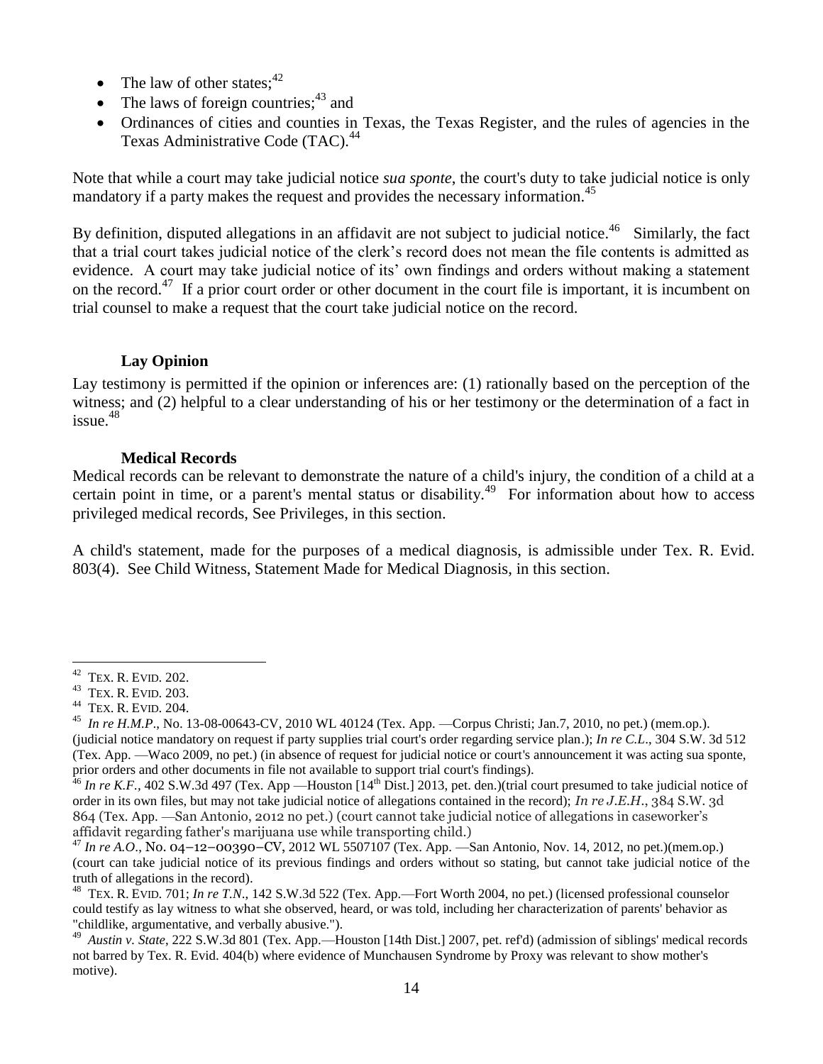- The law of other states;  $42$
- The laws of foreign countries;  $43$  and
- Ordinances of cities and counties in Texas, the Texas Register, and the rules of agencies in the Texas Administrative Code (TAC).<sup>44</sup>

Note that while a court may take judicial notice *sua sponte*, the court's duty to take judicial notice is only mandatory if a party makes the request and provides the necessary information.<sup>45</sup>

By definition, disputed allegations in an affidavit are not subject to judicial notice.<sup>46</sup> Similarly, the fact that a trial court takes judicial notice of the clerk's record does not mean the file contents is admitted as evidence. A court may take judicial notice of its' own findings and orders without making a statement on the record.<sup>47</sup> If a prior court order or other document in the court file is important, it is incumbent on trial counsel to make a request that the court take judicial notice on the record.

## **Lay Opinion**

<span id="page-13-0"></span>Lay testimony is permitted if the opinion or inferences are: (1) rationally based on the perception of the witness; and (2) helpful to a clear understanding of his or her testimony or the determination of a fact in issue. $48$ 

## **Medical Records**

<span id="page-13-1"></span>Medical records can be relevant to demonstrate the nature of a child's injury, the condition of a child at a certain point in time, or a parent's mental status or disability.<sup>49</sup> For information about how to access privileged medical records, See Privileges, in this section.

A child's statement, made for the purposes of a medical diagnosis, is admissible under Tex. R. Evid. 803(4). See Child Witness, Statement Made for Medical Diagnosis, in this section.

 $\overline{a}$  $42$  TEX. R. EVID. 202.

<sup>43</sup> TEX. R. EVID. 203.

<sup>44</sup> TEX. R. EVID. 204.

<sup>45</sup> *In re H.M.P*., No. 13-08-00643-CV, 2010 WL 40124 (Tex. App. —Corpus Christi; Jan.7, 2010, no pet.) (mem.op.). (judicial notice mandatory on request if party supplies trial court's order regarding service plan.); *In re C.L*., 304 S.W. 3d 512 (Tex. App. —Waco 2009, no pet.) (in absence of request for judicial notice or court's announcement it was acting sua sponte, prior orders and other documents in file not available to support trial court's findings).

<sup>&</sup>lt;sup>46</sup> In re K.F., 402 S.W.3d 497 (Tex. App —Houston [14<sup>th</sup> Dist.] 2013, pet. den.)(trial court presumed to take judicial notice of order in its own files, but may not take judicial notice of allegations contained in the record); *In re J.E.H.*, 384 S.W. 3d 864 (Tex. App. —San Antonio, 2012 no pet.) (court cannot take judicial notice of allegations in caseworker's affidavit regarding father's marijuana use while transporting child.)

<sup>47</sup> *In re A.O*., No. 04–12–00390–CV, 2012 WL 5507107 (Tex. App. —San Antonio, Nov. 14, 2012, no pet.)(mem.op.) (court can take judicial notice of its previous findings and orders without so stating, but cannot take judicial notice of the truth of allegations in the record).

<sup>48</sup> TEX. R. EVID. 701; *In re T.N*., 142 S.W.3d 522 (Tex. App.—Fort Worth 2004, no pet.) (licensed professional counselor could testify as lay witness to what she observed, heard, or was told, including her characterization of parents' behavior as "childlike, argumentative, and verbally abusive.").

<sup>49</sup>  *Austin v. State*, 222 S.W.3d 801 (Tex. App.—Houston [14th Dist.] 2007, pet. ref'd) (admission of siblings' medical records not barred by Tex. R. Evid. 404(b) where evidence of Munchausen Syndrome by Proxy was relevant to show mother's motive).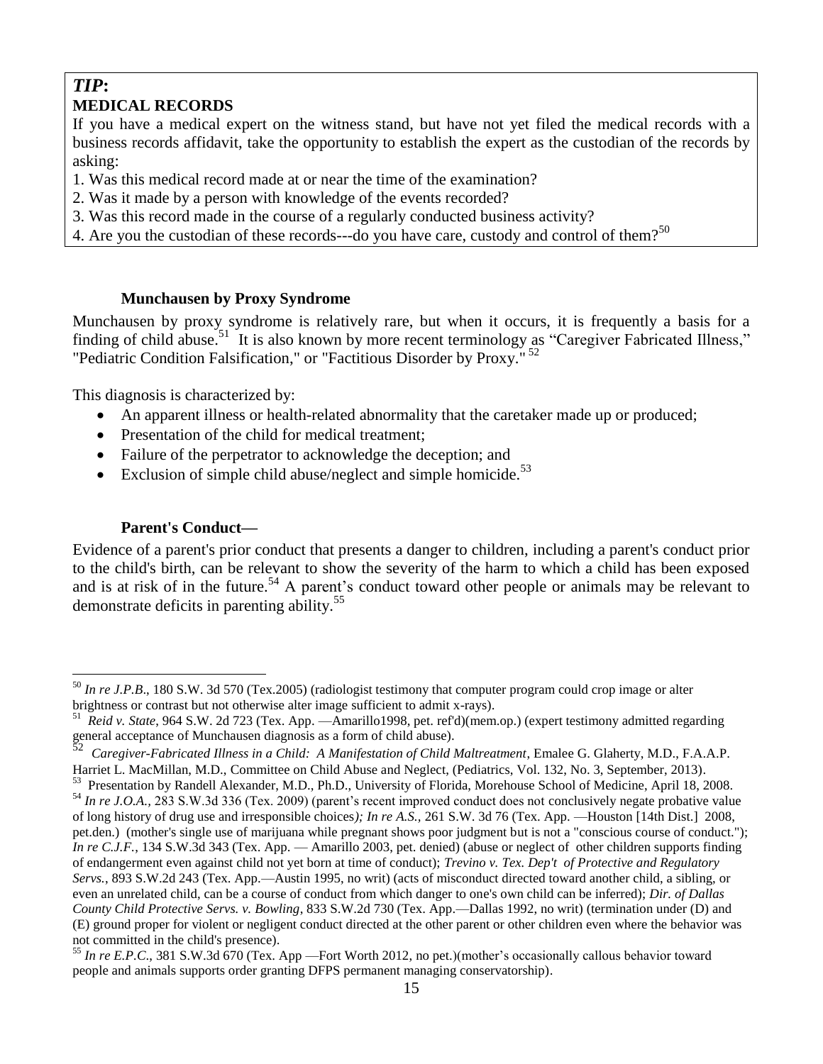## *TIP***: MEDICAL RECORDS**

If you have a medical expert on the witness stand, but have not yet filed the medical records with a business records affidavit, take the opportunity to establish the expert as the custodian of the records by asking:

1. Was this medical record made at or near the time of the examination?

- 2. Was it made by a person with knowledge of the events recorded?
- 3. Was this record made in the course of a regularly conducted business activity?
- 4. Are you the custodian of these records---do you have care, custody and control of them?<sup>50</sup>

## **Munchausen by Proxy Syndrome**

<span id="page-14-0"></span>Munchausen by proxy syndrome is relatively rare, but when it occurs, it is frequently a basis for a finding of child abuse.<sup>51</sup> It is also known by more recent terminology as "Caregiver Fabricated Illness," "Pediatric Condition Falsification," or "Factitious Disorder by Proxy."<sup>52</sup>

This diagnosis is characterized by:

- An apparent illness or health-related abnormality that the caretaker made up or produced;
- Presentation of the child for medical treatment;
- Failure of the perpetrator to acknowledge the deception; and
- Exclusion of simple child abuse/neglect and simple homicide.<sup>53</sup>

## **Parent's Conduct—**

 $\overline{a}$ 

<span id="page-14-1"></span>Evidence of a parent's prior conduct that presents a danger to children, including a parent's conduct prior to the child's birth, can be relevant to show the severity of the harm to which a child has been exposed and is at risk of in the future.<sup>54</sup> A parent's conduct toward other people or animals may be relevant to demonstrate deficits in parenting ability.<sup>55</sup>

<sup>&</sup>lt;sup>50</sup> *In re J.P.B.*, 180 S.W. 3d 570 (Tex.2005) (radiologist testimony that computer program could crop image or alter brightness or contrast but not otherwise alter image sufficient to admit x-rays).

<sup>51</sup> *Reid v. State*, 964 S.W. 2d 723 (Tex. App. —Amarillo1998, pet. ref'd)(mem.op.) (expert testimony admitted regarding general acceptance of Munchausen diagnosis as a form of child abuse).<br>52 Canadian Esksianted Illustration of Child A Munifestation of Child.

*Caregiver-Fabricated Illness in a Child: A Manifestation of Child Maltreatment*, Emalee G. Glaherty, M.D., F.A.A.P. Harriet L. MacMillan, M.D., Committee on Child Abuse and Neglect, (Pediatrics, Vol. 132, No. 3, September, 2013).

<sup>53</sup> Presentation by Randell Alexander, M.D., Ph.D., University of Florida, Morehouse School of Medicine, April 18, 2008. <sup>54</sup> In re J.O.A., 283 S.W.3d 336 (Tex. 2009) (parent's recent improved conduct does not conclusively negate probative value of long history of drug use and irresponsible choices*); In re A.S.,* 261 S.W. 3d 76 (Tex. App. —Houston [14th Dist.] 2008, pet.den.) (mother's single use of marijuana while pregnant shows poor judgment but is not a "conscious course of conduct."); *In re C.J.F.*, 134 S.W.3d 343 (Tex. App. — Amarillo 2003, pet. denied) (abuse or neglect of other children supports finding of endangerment even against child not yet born at time of conduct); *Trevino v. Tex. Dep't of Protective and Regulatory Servs.*, 893 S.W.2d 243 (Tex. App.—Austin 1995, no writ) (acts of misconduct directed toward another child, a sibling, or even an unrelated child, can be a course of conduct from which danger to one's own child can be inferred); *Dir. of Dallas County Child Protective Servs. v. Bowling*, 833 S.W.2d 730 (Tex. App.—Dallas 1992, no writ) (termination under (D) and (E) ground proper for violent or negligent conduct directed at the other parent or other children even where the behavior was not committed in the child's presence).

<sup>55</sup> *In re E.P.C*., 381 S.W.3d 670 (Tex. App —Fort Worth 2012, no pet.)(mother's occasionally callous behavior toward people and animals supports order granting DFPS permanent managing conservatorship).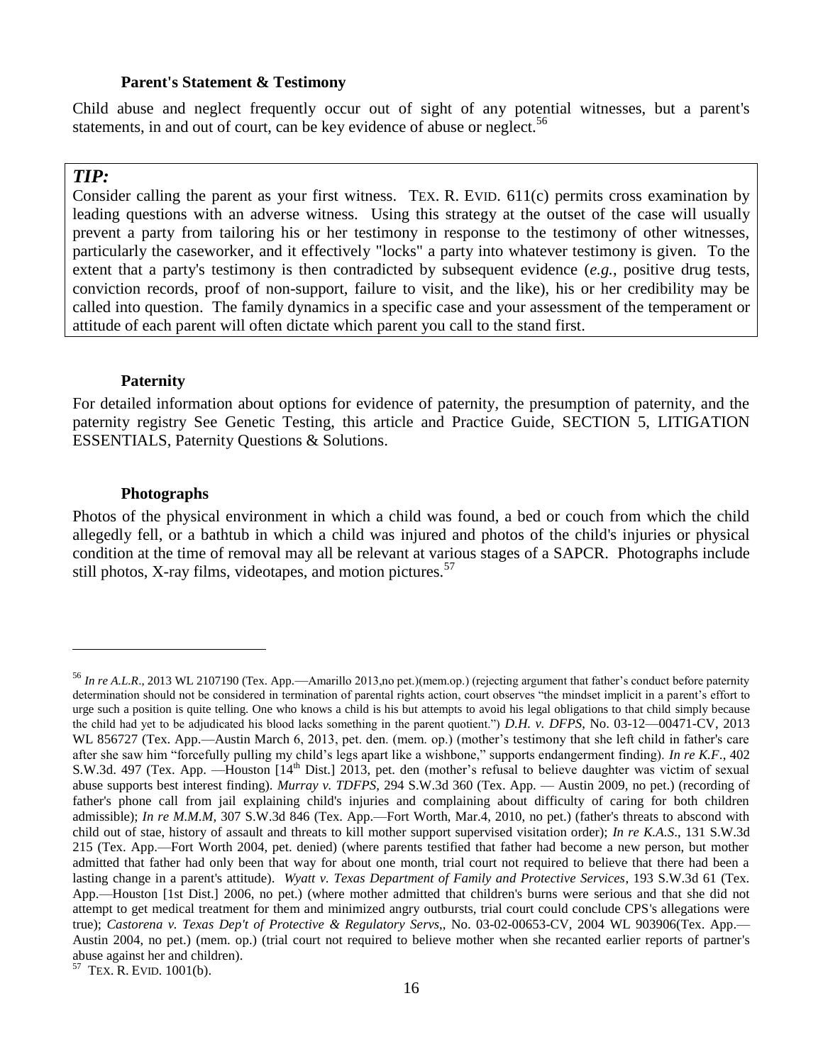#### **Parent's Statement & Testimony**

<span id="page-15-0"></span>Child abuse and neglect frequently occur out of sight of any potential witnesses, but a parent's statements, in and out of court, can be key evidence of abuse or neglect.<sup>56</sup>

## *TIP:*

 $\overline{a}$ 

Consider calling the parent as your first witness. TEX. R. EVID. 611(c) permits cross examination by leading questions with an adverse witness. Using this strategy at the outset of the case will usually prevent a party from tailoring his or her testimony in response to the testimony of other witnesses, particularly the caseworker, and it effectively "locks" a party into whatever testimony is given. To the extent that a party's testimony is then contradicted by subsequent evidence (*e.g.*, positive drug tests, conviction records, proof of non-support, failure to visit, and the like), his or her credibility may be called into question. The family dynamics in a specific case and your assessment of the temperament or attitude of each parent will often dictate which parent you call to the stand first.

#### **Paternity**

<span id="page-15-1"></span>For detailed information about options for evidence of paternity, the presumption of paternity, and the paternity registry See Genetic Testing, this article and Practice Guide*,* SECTION 5, LITIGATION ESSENTIALS, Paternity Questions & Solutions.

#### **Photographs**

<span id="page-15-2"></span>Photos of the physical environment in which a child was found, a bed or couch from which the child allegedly fell, or a bathtub in which a child was injured and photos of the child's injuries or physical condition at the time of removal may all be relevant at various stages of a SAPCR. Photographs include still photos, X-ray films, videotapes, and motion pictures.<sup>57</sup>

57 TEX. R. EVID. 1001(b).

<sup>&</sup>lt;sup>56</sup> In re A.L.R., 2013 WL 2107190 (Tex. App.—Amarillo 2013,no pet.)(mem.op.) (rejecting argument that father's conduct before paternity determination should not be considered in termination of parental rights action, court observes "the mindset implicit in a parent's effort to urge such a position is quite telling. One who knows a child is his but attempts to avoid his legal obligations to that child simply because the child had yet to be adjudicated his blood lacks something in the parent quotient.") *D.H. v. DFPS*, No. 03-12—00471-CV, 2013 WL 856727 (Tex. App.—Austin March 6, 2013, pet. den. (mem. op.) (mother's testimony that she left child in father's care after she saw him "forcefully pulling my child's legs apart like a wishbone," supports endangerment finding). *In re K.F*., 402 S.W.3d. 497 (Tex. App. —Houston [14<sup>th</sup> Dist.] 2013, pet. den (mother's refusal to believe daughter was victim of sexual abuse supports best interest finding). *Murray v. TDFPS,* 294 S.W.3d 360 (Tex. App. — Austin 2009, no pet.) (recording of father's phone call from jail explaining child's injuries and complaining about difficulty of caring for both children admissible); *In re M.M.M,* 307 S.W.3d 846 (Tex. App.—Fort Worth, Mar.4, 2010, no pet.) (father's threats to abscond with child out of stae, history of assault and threats to kill mother support supervised visitation order); *In re K.A.S*., 131 S.W.3d 215 (Tex. App.—Fort Worth 2004, pet. denied) (where parents testified that father had become a new person, but mother admitted that father had only been that way for about one month, trial court not required to believe that there had been a lasting change in a parent's attitude). *Wyatt v. Texas Department of Family and Protective Services*, 193 S.W.3d 61 (Tex. App.—Houston [1st Dist.] 2006, no pet.) (where mother admitted that children's burns were serious and that she did not attempt to get medical treatment for them and minimized angry outbursts, trial court could conclude CPS's allegations were true); *Castorena v. Texas Dep't of Protective & Regulatory Servs*,, No. 03-02-00653-CV, 2004 WL 903906(Tex. App.— Austin 2004, no pet.) (mem. op.) (trial court not required to believe mother when she recanted earlier reports of partner's abuse against her and children).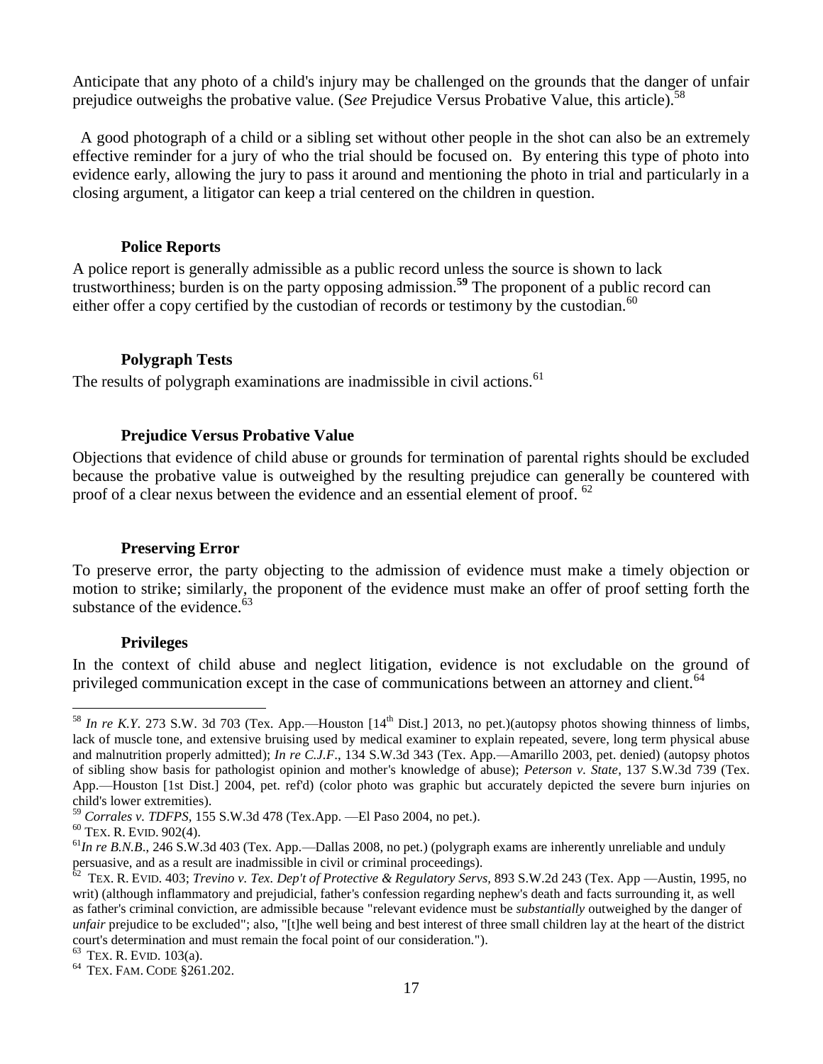Anticipate that any photo of a child's injury may be challenged on the grounds that the danger of unfair prejudice outweighs the probative value. (See Prejudice Versus Probative Value, this article).<sup>58</sup>

A good photograph of a child or a sibling set without other people in the shot can also be an extremely effective reminder for a jury of who the trial should be focused on. By entering this type of photo into evidence early, allowing the jury to pass it around and mentioning the photo in trial and particularly in a closing argument, a litigator can keep a trial centered on the children in question.

#### **Police Reports**

<span id="page-16-1"></span><span id="page-16-0"></span>A police report is generally admissible as a public record unless the source is shown to lack trustworthiness; burden is on the party opposing admission.**<sup>59</sup>** The proponent of a public record can either offer a copy certified by the custodian of records or testimony by the custodian.<sup>60</sup>

## **Polygraph Tests**

<span id="page-16-2"></span>The results of polygraph examinations are inadmissible in civil actions.<sup>61</sup>

#### **Prejudice Versus Probative Value**

Objections that evidence of child abuse or grounds for termination of parental rights should be excluded because the probative value is outweighed by the resulting prejudice can generally be countered with proof of a clear nexus between the evidence and an essential element of proof. <sup>62</sup>

#### **Preserving Error**

<span id="page-16-3"></span>To preserve error, the party objecting to the admission of evidence must make a timely objection or motion to strike; similarly, the proponent of the evidence must make an offer of proof setting forth the substance of the evidence.<sup>63</sup>

#### **Privileges**

<span id="page-16-4"></span>In the context of child abuse and neglect litigation, evidence is not excludable on the ground of privileged communication except in the case of communications between an attorney and client.<sup>64</sup>

 $^{58}$  *In re K.Y.* 273 S.W. 3d 703 (Tex. App.—Houston [14<sup>th</sup> Dist.] 2013, no pet.)(autopsy photos showing thinness of limbs, lack of muscle tone, and extensive bruising used by medical examiner to explain repeated, severe, long term physical abuse and malnutrition properly admitted); *In re C.J.F*., 134 S.W.3d 343 (Tex. App.—Amarillo 2003, pet. denied) (autopsy photos of sibling show basis for pathologist opinion and mother's knowledge of abuse); *Peterson v. State*, 137 S.W.3d 739 (Tex. App.—Houston [1st Dist.] 2004, pet. ref'd) (color photo was graphic but accurately depicted the severe burn injuries on child's lower extremities).

<sup>59</sup> *Corrales v. TDFPS,* 155 S.W.3d 478 (Tex.App. —El Paso 2004, no pet.).

<sup>60</sup> TEX. R. EVID. 902(4).

 $<sup>61</sup>$ *In re B.N.B.*, 246 S.W.3d 403 (Tex. App.—Dallas 2008, no pet.) (polygraph exams are inherently unreliable and unduly</sup> persuasive, and as a result are inadmissible in civil or criminal proceedings).

<sup>62</sup> TEX. R. EVID. 403; *Trevino v. Tex. Dep't of Protective & Regulatory Servs,* 893 S.W.2d 243 (Tex. App —Austin, 1995, no writ) (although inflammatory and prejudicial, father's confession regarding nephew's death and facts surrounding it, as well as father's criminal conviction, are admissible because "relevant evidence must be *substantially* outweighed by the danger of *unfair* prejudice to be excluded"; also, "[t]he well being and best interest of three small children lay at the heart of the district court's determination and must remain the focal point of our consideration.").

 $63$  TEX. R. EVID. 103(a).

<sup>64</sup> TEX. FAM. CODE §261.202.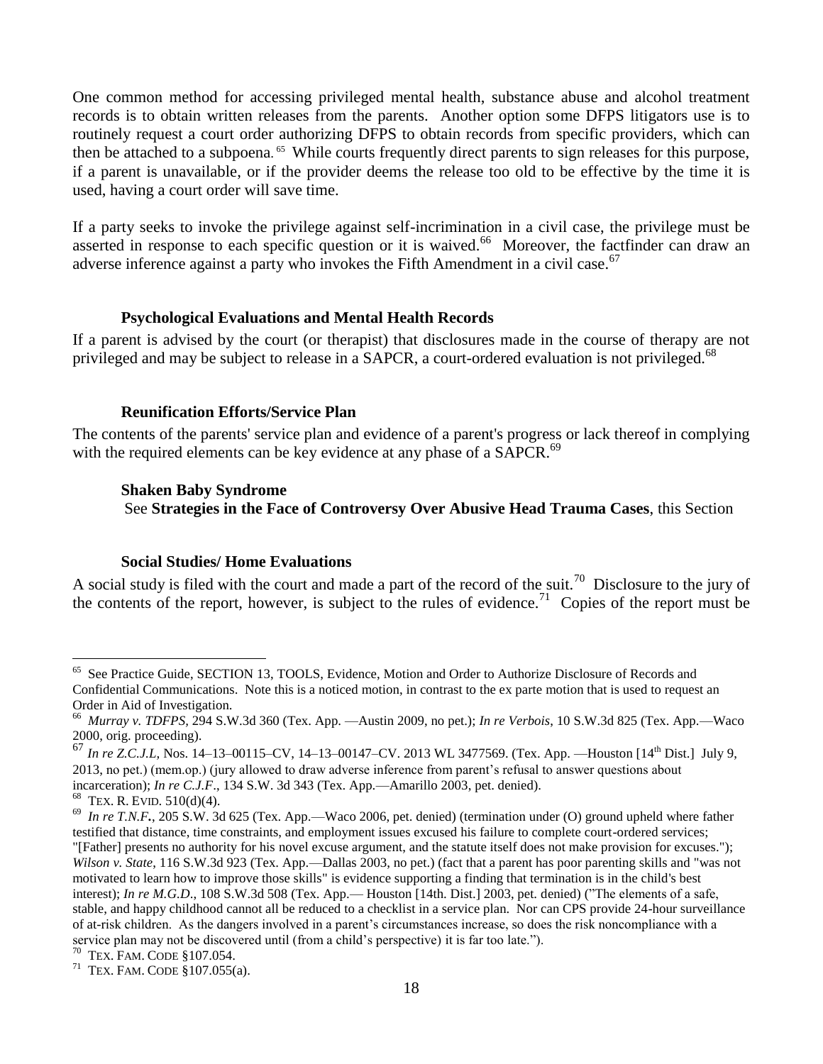One common method for accessing privileged mental health, substance abuse and alcohol treatment records is to obtain written releases from the parents. Another option some DFPS litigators use is to routinely request a court order authorizing DFPS to obtain records from specific providers, which can then be attached to a subpoena. <sup>65</sup> While courts frequently direct parents to sign releases for this purpose, if a parent is unavailable, or if the provider deems the release too old to be effective by the time it is used, having a court order will save time.

If a party seeks to invoke the privilege against self-incrimination in a civil case, the privilege must be asserted in response to each specific question or it is waived.<sup>66</sup> Moreover, the factfinder can draw an adverse inference against a party who invokes the Fifth Amendment in a civil case.<sup>67</sup>

#### **Psychological Evaluations and Mental Health Records**

<span id="page-17-0"></span>If a parent is advised by the court (or therapist) that disclosures made in the course of therapy are not privileged and may be subject to release in a SAPCR, a court-ordered evaluation is not privileged.<sup>68</sup>

#### **Reunification Efforts/Service Plan**

<span id="page-17-1"></span>The contents of the parents' service plan and evidence of a parent's progress or lack thereof in complying with the required elements can be key evidence at any phase of a SAPCR.<sup>69</sup>

#### **Shaken Baby Syndrome**

See **Strategies in the Face of Controversy Over Abusive Head Trauma Cases**, this Section

## **Social Studies/ Home Evaluations**

<span id="page-17-2"></span>A social study is filed with the court and made a part of the record of the suit.<sup>70</sup> Disclosure to the jury of the contents of the report, however, is subject to the rules of evidence.<sup>71</sup> Copies of the report must be

<sup>65</sup> See Practice Guide, SECTION 13, TOOLS, Evidence, Motion and Order to Authorize Disclosure of Records and Confidential Communications. Note this is a noticed motion, in contrast to the ex parte motion that is used to request an Order in Aid of Investigation.

<sup>66</sup> *Murray v. TDFPS,* 294 S.W.3d 360 (Tex. App. —Austin 2009, no pet.); *In re Verbois*, 10 S.W.3d 825 (Tex. App.—Waco 2000, orig. proceeding).

<sup>67</sup> *In re Z.C.J.L,* Nos. 14–13–00115–CV, 14–13–00147–CV. 2013 WL 3477569. (Tex. App. —Houston [14th Dist.] July 9, 2013, no pet.) (mem.op.) (jury allowed to draw adverse inference from parent's refusal to answer questions about incarceration); *In re C.J.F*., 134 S.W. 3d 343 (Tex. App.—Amarillo 2003, pet. denied).  $68$  TEX. R. EVID.  $510(d)(4)$ .

<sup>&</sup>lt;sup>69</sup> In re T.N.F., 205 S.W. 3d 625 (Tex. App.—Waco 2006, pet. denied) (termination under (O) ground upheld where father testified that distance, time constraints, and employment issues excused his failure to complete court-ordered services; "[Father] presents no authority for his novel excuse argument, and the statute itself does not make provision for excuses."); *Wilson v. State*, 116 S.W.3d 923 (Tex. App.—Dallas 2003, no pet.) (fact that a parent has poor parenting skills and "was not motivated to learn how to improve those skills" is evidence supporting a finding that termination is in the child's best interest); *In re M.G.D*., 108 S.W.3d 508 (Tex. App.— Houston [14th. Dist.] 2003, pet. denied) ("The elements of a safe, stable, and happy childhood cannot all be reduced to a checklist in a service plan. Nor can CPS provide 24-hour surveillance of at-risk children. As the dangers involved in a parent's circumstances increase, so does the risk noncompliance with a service plan may not be discovered until (from a child's perspective) it is far too late.").

<sup>70</sup> TEX. FAM. CODE §107.054.

<sup>71</sup> TEX. FAM. CODE §107.055(a).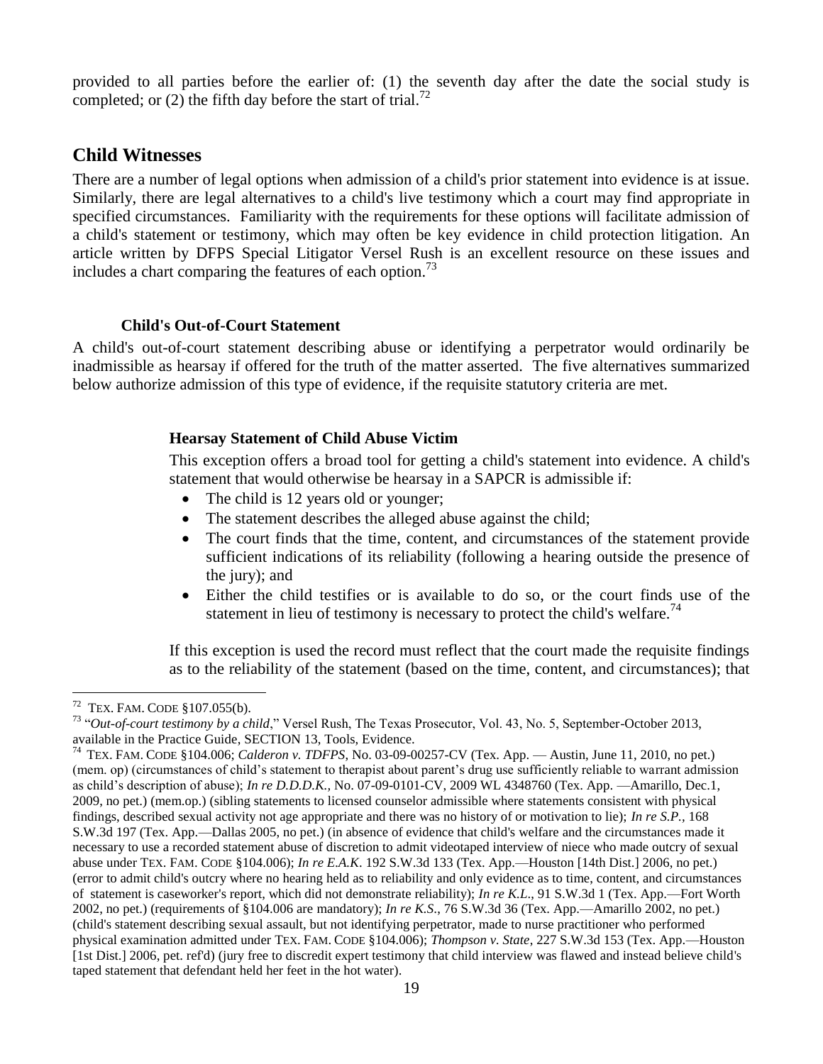provided to all parties before the earlier of: (1) the seventh day after the date the social study is completed; or  $(2)$  the fifth day before the start of trial.<sup>72</sup>

## <span id="page-18-0"></span>**Child Witnesses**

There are a number of legal options when admission of a child's prior statement into evidence is at issue. Similarly, there are legal alternatives to a child's live testimony which a court may find appropriate in specified circumstances. Familiarity with the requirements for these options will facilitate admission of a child's statement or testimony, which may often be key evidence in child protection litigation. An article written by DFPS Special Litigator Versel Rush is an excellent resource on these issues and includes a chart comparing the features of each option. $^{73}$ 

## **Child's Out-of-Court Statement**

<span id="page-18-2"></span><span id="page-18-1"></span>A child's out-of-court statement describing abuse or identifying a perpetrator would ordinarily be inadmissible as hearsay if offered for the truth of the matter asserted. The five alternatives summarized below authorize admission of this type of evidence, if the requisite statutory criteria are met.

## **Hearsay Statement of Child Abuse Victim**

This exception offers a broad tool for getting a child's statement into evidence. A child's statement that would otherwise be hearsay in a SAPCR is admissible if:

- The child is 12 years old or younger;
- The statement describes the alleged abuse against the child;
- The court finds that the time, content, and circumstances of the statement provide sufficient indications of its reliability (following a hearing outside the presence of the jury); and
- Either the child testifies or is available to do so, or the court finds use of the statement in lieu of testimony is necessary to protect the child's welfare.<sup>74</sup>

If this exception is used the record must reflect that the court made the requisite findings as to the reliability of the statement (based on the time, content, and circumstances); that

 $72$  TEX. FAM. CODE §107.055(b).

<sup>73</sup> "*Out-of-court testimony by a child*," Versel Rush, The Texas Prosecutor, Vol. 43, No. 5, September-October 2013, available in the Practice Guide, SECTION 13, Tools, Evidence.

<sup>74</sup> TEX. FAM. CODE §104.006; *Calderon v. TDFPS*, No. 03-09-00257-CV (Tex. App. — Austin, June 11, 2010, no pet.) (mem. op) (circumstances of child's statement to therapist about parent's drug use sufficiently reliable to warrant admission as child's description of abuse); *In re D.D.D.K.,* No. 07-09-0101-CV, 2009 WL 4348760 (Tex. App. —Amarillo, Dec.1, 2009, no pet.) (mem.op.) (sibling statements to licensed counselor admissible where statements consistent with physical findings, described sexual activity not age appropriate and there was no history of or motivation to lie); *In re S.P.,* 168 S.W.3d 197 (Tex. App.—Dallas 2005, no pet.) (in absence of evidence that child's welfare and the circumstances made it necessary to use a recorded statement abuse of discretion to admit videotaped interview of niece who made outcry of sexual abuse under TEX. FAM. CODE §104.006); *In re E.A.K*. 192 S.W.3d 133 (Tex. App.—Houston [14th Dist.] 2006, no pet.) (error to admit child's outcry where no hearing held as to reliability and only evidence as to time, content, and circumstances of statement is caseworker's report, which did not demonstrate reliability); *In re K.L*., 91 S.W.3d 1 (Tex. App.—Fort Worth 2002, no pet.) (requirements of §104.006 are mandatory); *In re K.S*., 76 S.W.3d 36 (Tex. App.—Amarillo 2002, no pet.) (child's statement describing sexual assault, but not identifying perpetrator, made to nurse practitioner who performed physical examination admitted under TEX. FAM. CODE §104.006); *Thompson v. State*, 227 S.W.3d 153 (Tex. App.—Houston [1st Dist.] 2006, pet. ref'd) (jury free to discredit expert testimony that child interview was flawed and instead believe child's taped statement that defendant held her feet in the hot water).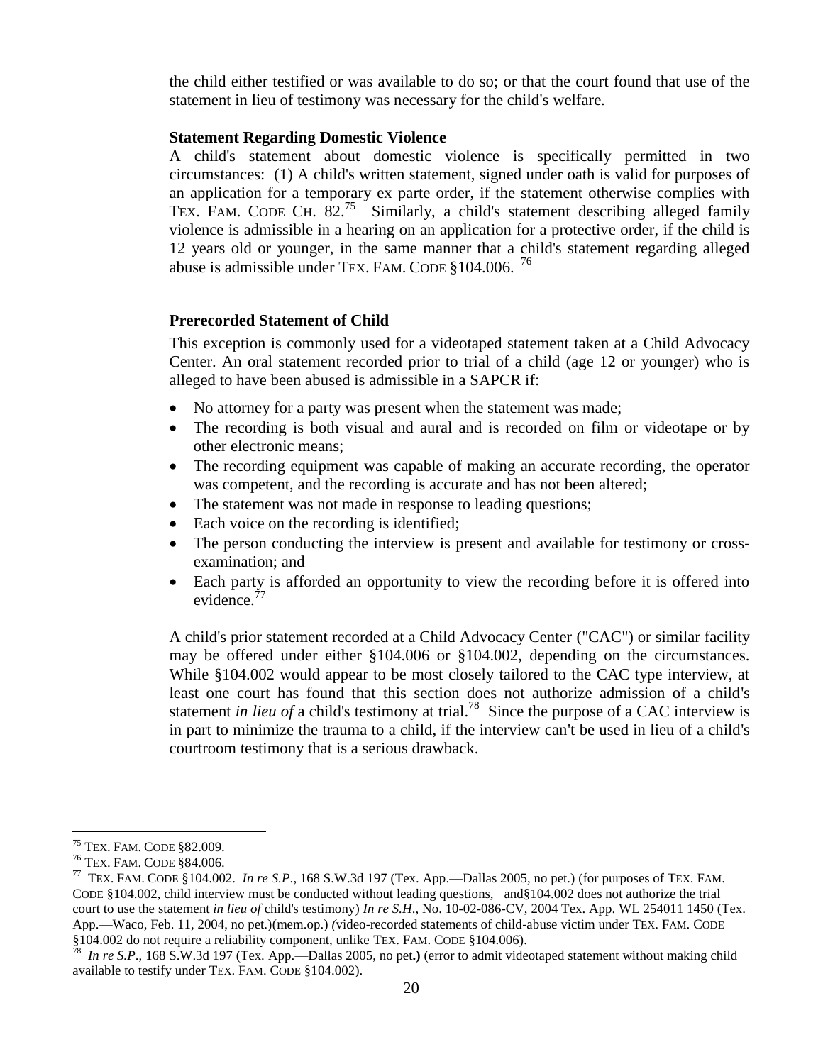the child either testified or was available to do so; or that the court found that use of the statement in lieu of testimony was necessary for the child's welfare.

#### **Statement Regarding Domestic Violence**

A child's statement about domestic violence is specifically permitted in two circumstances: (1) A child's written statement, signed under oath is valid for purposes of an application for a temporary ex parte order, if the statement otherwise complies with TEX. FAM. CODE CH. 82.<sup>75</sup> Similarly, a child's statement describing alleged family violence is admissible in a hearing on an application for a protective order, if the child is 12 years old or younger, in the same manner that a child's statement regarding alleged abuse is admissible under TEX. FAM. CODE §104.006. 76

## <span id="page-19-0"></span>**Prerecorded Statement of Child**

This exception is commonly used for a videotaped statement taken at a Child Advocacy Center. An oral statement recorded prior to trial of a child (age 12 or younger) who is alleged to have been abused is admissible in a SAPCR if:

- No attorney for a party was present when the statement was made;
- The recording is both visual and aural and is recorded on film or videotape or by other electronic means;
- The recording equipment was capable of making an accurate recording, the operator was competent, and the recording is accurate and has not been altered;
- The statement was not made in response to leading questions;
- Each voice on the recording is identified;
- The person conducting the interview is present and available for testimony or crossexamination; and
- Each party is afforded an opportunity to view the recording before it is offered into evidence.<sup>77</sup>

A child's prior statement recorded at a Child Advocacy Center ("CAC") or similar facility may be offered under either §104.006 or §104.002, depending on the circumstances. While §104.002 would appear to be most closely tailored to the CAC type interview, at least one court has found that this section does not authorize admission of a child's statement *in lieu of* a child's testimony at trial.<sup>78</sup> Since the purpose of a CAC interview is in part to minimize the trauma to a child, if the interview can't be used in lieu of a child's courtroom testimony that is a serious drawback.

 $\overline{a}$ <sup>75</sup> TEX. FAM. CODE §82.009.

<sup>76</sup> TEX. FAM. CODE §84.006.

<sup>77</sup> TEX. FAM. CODE §104.002. *In re S.P*., 168 S.W.3d 197 (Tex. App.—Dallas 2005, no pet.) (for purposes of TEX. FAM. CODE §104.002, child interview must be conducted without leading questions, and§104.002 does not authorize the trial court to use the statement *in lieu of* child's testimony) *In re S.H*.*,* No. 10-02-086-CV, 2004 Tex. App. WL 254011 1450 (Tex. App.—Waco, Feb. 11, 2004, no pet.)(mem.op.) *(*video-recorded statements of child-abuse victim under TEX. FAM. CODE §104.002 do not require a reliability component, unlike TEX. FAM. CODE §104.006).

<sup>78</sup> *In re S.P*., 168 S.W.3d 197 (Tex. App.—Dallas 2005, no pet**.)** (error to admit videotaped statement without making child available to testify under TEX. FAM. CODE §104.002).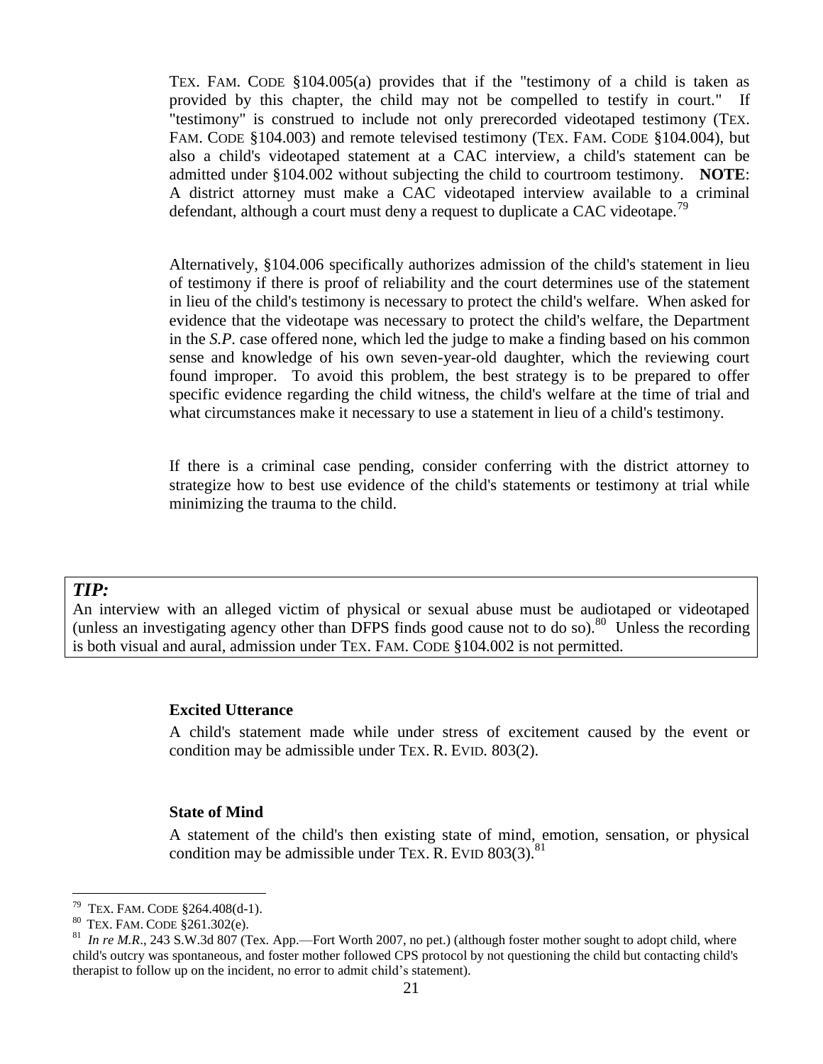TEX. FAM. CODE §104.005(a) provides that if the "testimony of a child is taken as provided by this chapter, the child may not be compelled to testify in court." If "testimony" is construed to include not only prerecorded videotaped testimony (TEX. FAM. CODE §104.003) and remote televised testimony (TEX. FAM. CODE §104.004), but also a child's videotaped statement at a CAC interview, a child's statement can be admitted under §104.002 without subjecting the child to courtroom testimony. **NOTE**: A district attorney must make a CAC videotaped interview available to a criminal defendant, although a court must deny a request to duplicate a CAC videotape.<sup>79</sup>

Alternatively, §104.006 specifically authorizes admission of the child's statement in lieu of testimony if there is proof of reliability and the court determines use of the statement in lieu of the child's testimony is necessary to protect the child's welfare. When asked for evidence that the videotape was necessary to protect the child's welfare, the Department in the *S.P*. case offered none, which led the judge to make a finding based on his common sense and knowledge of his own seven-year-old daughter, which the reviewing court found improper. To avoid this problem, the best strategy is to be prepared to offer specific evidence regarding the child witness, the child's welfare at the time of trial and what circumstances make it necessary to use a statement in lieu of a child's testimony.

If there is a criminal case pending, consider conferring with the district attorney to strategize how to best use evidence of the child's statements or testimony at trial while minimizing the trauma to the child.

## *TIP:*

<span id="page-20-1"></span> $\overline{a}$ 

<span id="page-20-0"></span>An interview with an alleged victim of physical or sexual abuse must be audiotaped or videotaped (unless an investigating agency other than DFPS finds good cause not to do so).<sup>80</sup> Unless the recording is both visual and aural, admission under TEX. FAM. CODE §104.002 is not permitted.

#### **Excited Utterance**

A child's statement made while under stress of excitement caused by the event or condition may be admissible under TEX. R. EVID. 803(2).

#### **State of Mind**

A statement of the child's then existing state of mind, emotion, sensation, or physical condition may be admissible under TEX. R. EVID  $803(3)$ .<sup>81</sup>

<sup>79</sup> TEX. FAM. CODE §264.408(d-1).

<sup>80</sup> TEX. FAM. CODE §261.302(e).

<sup>81</sup> *In re M.R.*, 243 S.W.3d 807 (Tex. App.—Fort Worth 2007, no pet.) (although foster mother sought to adopt child, where child's outcry was spontaneous, and foster mother followed CPS protocol by not questioning the child but contacting child's therapist to follow up on the incident, no error to admit child's statement).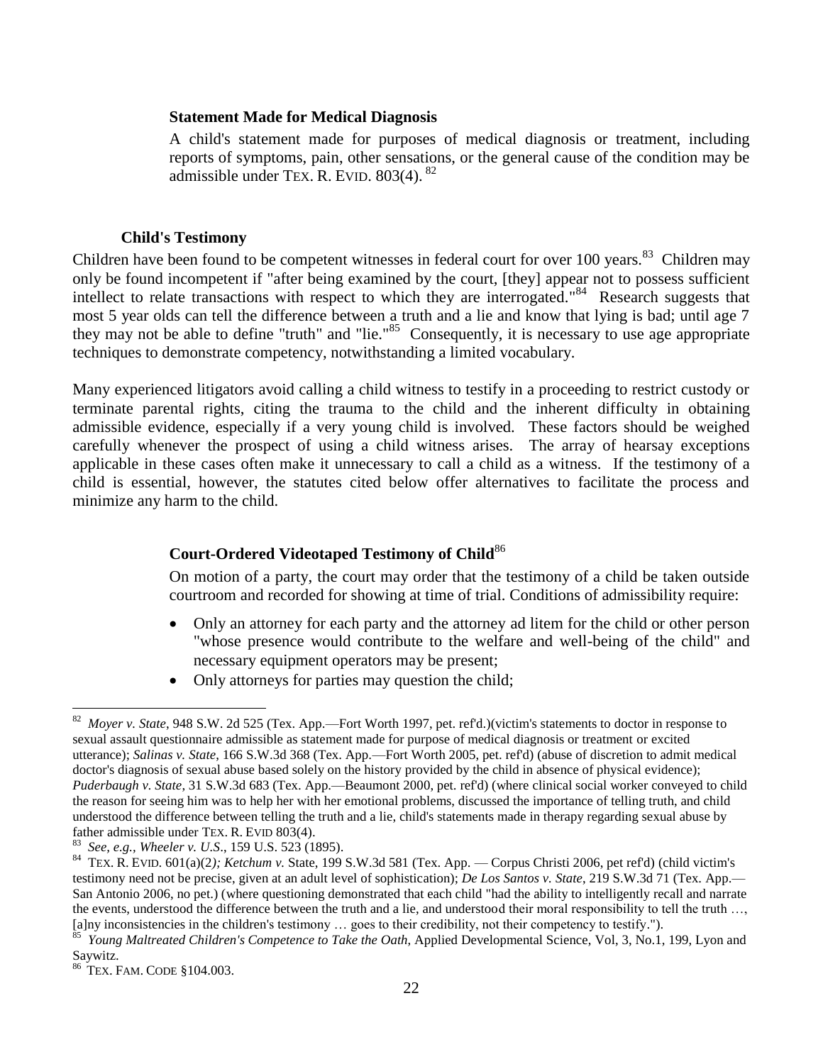#### <span id="page-21-0"></span>**Statement Made for Medical Diagnosis**

A child's statement made for purposes of medical diagnosis or treatment, including reports of symptoms, pain, other sensations, or the general cause of the condition may be admissible under TEX. R. EVID.  $803(4)$ .  $82$ 

#### **Child's Testimony**

<span id="page-21-1"></span>Children have been found to be competent witnesses in federal court for over 100 years.<sup>83</sup> Children may only be found incompetent if "after being examined by the court, [they] appear not to possess sufficient intellect to relate transactions with respect to which they are interrogated."<sup>84</sup> Research suggests that most 5 year olds can tell the difference between a truth and a lie and know that lying is bad; until age 7 they may not be able to define "truth" and "lie." <sup>85</sup> Consequently, it is necessary to use age appropriate techniques to demonstrate competency, notwithstanding a limited vocabulary.

Many experienced litigators avoid calling a child witness to testify in a proceeding to restrict custody or terminate parental rights, citing the trauma to the child and the inherent difficulty in obtaining admissible evidence, especially if a very young child is involved. These factors should be weighed carefully whenever the prospect of using a child witness arises. The array of hearsay exceptions applicable in these cases often make it unnecessary to call a child as a witness. If the testimony of a child is essential, however, the statutes cited below offer alternatives to facilitate the process and minimize any harm to the child.

## <span id="page-21-2"></span>**Court-Ordered Videotaped Testimony of Child**<sup>86</sup>

On motion of a party, the court may order that the testimony of a child be taken outside courtroom and recorded for showing at time of trial. Conditions of admissibility require:

- Only an attorney for each party and the attorney ad litem for the child or other person "whose presence would contribute to the welfare and well-being of the child" and necessary equipment operators may be present;
- Only attorneys for parties may question the child;

 82 *Moyer v. State*, 948 S.W. 2d 525 (Tex. App.—Fort Worth 1997, pet. ref'd.)(victim's statements to doctor in response to sexual assault questionnaire admissible as statement made for purpose of medical diagnosis or treatment or excited utterance); *Salinas v. State*, 166 S.W.3d 368 (Tex. App.—Fort Worth 2005, pet. ref'd) (abuse of discretion to admit medical doctor's diagnosis of sexual abuse based solely on the history provided by the child in absence of physical evidence); *Puderbaugh v. State*, 31 S.W.3d 683 (Tex. App.—Beaumont 2000, pet. ref'd) (where clinical social worker conveyed to child the reason for seeing him was to help her with her emotional problems, discussed the importance of telling truth, and child understood the difference between telling the truth and a lie, child's statements made in therapy regarding sexual abuse by father admissible under TEX. R. EVID 803(4).

<sup>83</sup>  *See, e.g., Wheeler v. U.S*., 159 U.S. 523 (1895).

<sup>84</sup> TEX. R. EVID. 601(a)(2*); Ketchum v.* State, 199 S.W.3d 581 (Tex. App. — Corpus Christi 2006, pet ref'd) (child victim's testimony need not be precise, given at an adult level of sophistication); *De Los Santos v. State*, 219 S.W.3d 71 (Tex. App.— San Antonio 2006, no pet.) (where questioning demonstrated that each child "had the ability to intelligently recall and narrate the events, understood the difference between the truth and a lie, and understood their moral responsibility to tell the truth …, [a]ny inconsistencies in the children's testimony … goes to their credibility, not their competency to testify.").

<sup>85</sup>  *Young Maltreated Children's Competence to Take the Oath*, Applied Developmental Science, Vol, 3, No.1, 199, Lyon and Saywitz.

<sup>86</sup> TEX. FAM. CODE §104.003.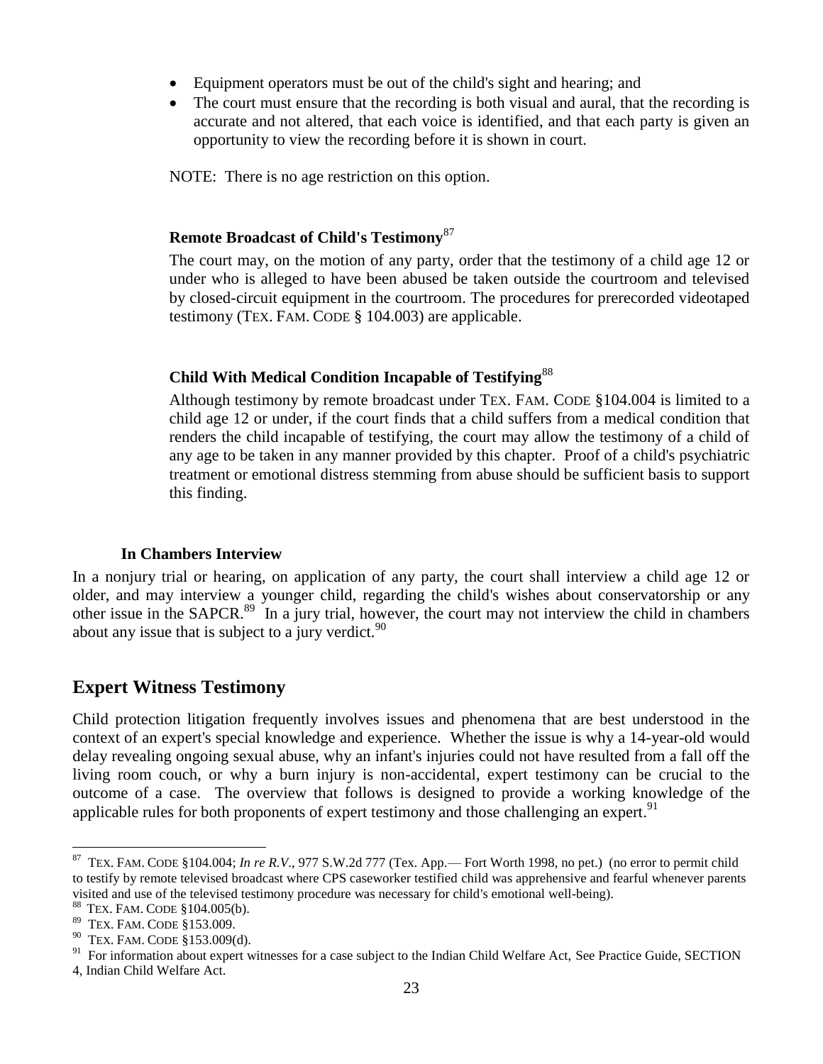- Equipment operators must be out of the child's sight and hearing; and
- The court must ensure that the recording is both visual and aural, that the recording is accurate and not altered, that each voice is identified, and that each party is given an opportunity to view the recording before it is shown in court.

NOTE: There is no age restriction on this option.

## <span id="page-22-0"></span>**Remote Broadcast of Child's Testimony**<sup>87</sup>

The court may, on the motion of any party, order that the testimony of a child age 12 or under who is alleged to have been abused be taken outside the courtroom and televised by closed-circuit equipment in the courtroom. The procedures for prerecorded videotaped testimony (TEX. FAM. CODE § 104.003) are applicable.

## <span id="page-22-1"></span>**Child With Medical Condition Incapable of Testifying**<sup>88</sup>

Although testimony by remote broadcast under TEX. FAM. CODE §104.004 is limited to a child age 12 or under, if the court finds that a child suffers from a medical condition that renders the child incapable of testifying, the court may allow the testimony of a child of any age to be taken in any manner provided by this chapter. Proof of a child's psychiatric treatment or emotional distress stemming from abuse should be sufficient basis to support this finding.

## **In Chambers Interview**

<span id="page-22-2"></span>In a nonjury trial or hearing, on application of any party, the court shall interview a child age 12 or older, and may interview a younger child, regarding the child's wishes about conservatorship or any other issue in the SAPCR.<sup>89</sup> In a jury trial, however, the court may not interview the child in chambers about any issue that is subject to a jury verdict.  $90$ 

## <span id="page-22-3"></span>**Expert Witness Testimony**

Child protection litigation frequently involves issues and phenomena that are best understood in the context of an expert's special knowledge and experience. Whether the issue is why a 14-year-old would delay revealing ongoing sexual abuse, why an infant's injuries could not have resulted from a fall off the living room couch, or why a burn injury is non-accidental, expert testimony can be crucial to the outcome of a case. The overview that follows is designed to provide a working knowledge of the applicable rules for both proponents of expert testimony and those challenging an expert.<sup>91</sup>

<sup>87</sup> TEX. FAM. CODE §104.004; *In re R.V*., 977 S.W.2d 777 (Tex. App.— Fort Worth 1998, no pet.) (no error to permit child to testify by remote televised broadcast where CPS caseworker testified child was apprehensive and fearful whenever parents visited and use of the televised testimony procedure was necessary for child's emotional well-being).

<sup>88</sup> TEX. FAM. CODE §104.005(b).

<sup>89</sup> TEX. FAM. CODE §153.009.

 $90$  TEX. FAM. CODE  $$153.009(d)$ .

<sup>91</sup> For information about expert witnesses for a case subject to the Indian Child Welfare Act, See Practice Guide, SECTION

<sup>4,</sup> Indian Child Welfare Act.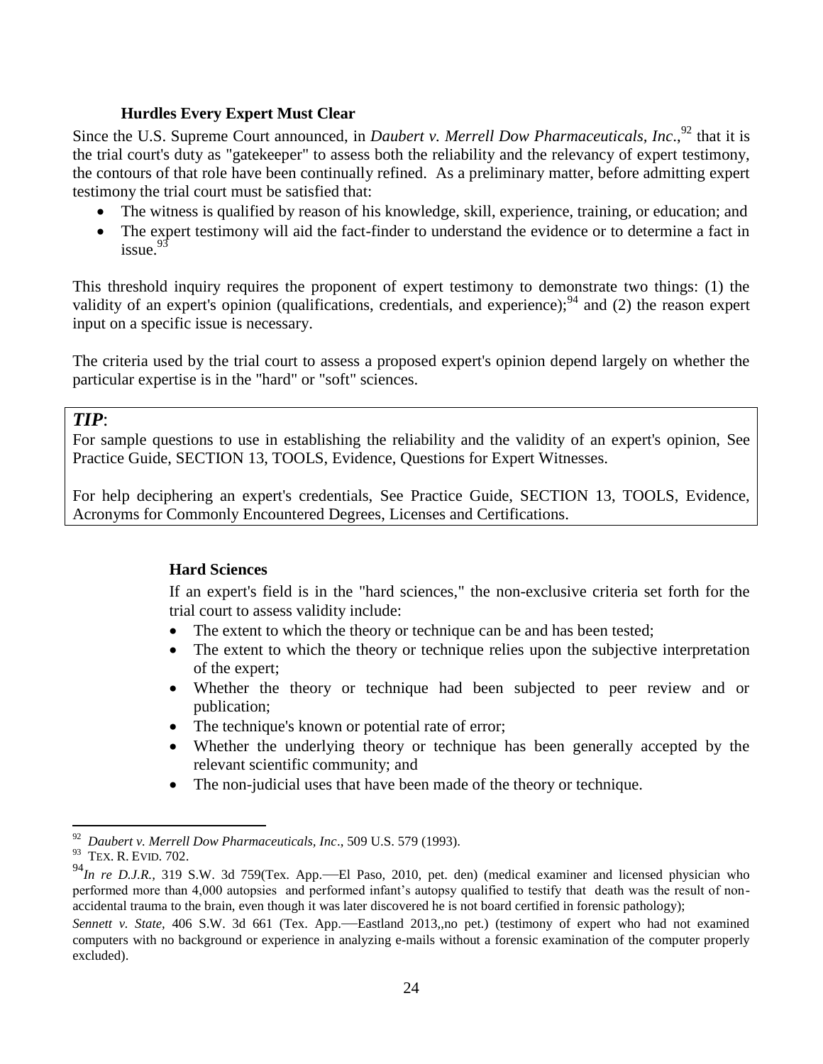## **Hurdles Every Expert Must Clear**

<span id="page-23-0"></span>Since the U.S. Supreme Court announced, in *Daubert v. Merrell Dow Pharmaceuticals, Inc.*,<sup>92</sup> that it is the trial court's duty as "gatekeeper" to assess both the reliability and the relevancy of expert testimony, the contours of that role have been continually refined. As a preliminary matter, before admitting expert testimony the trial court must be satisfied that:

- The witness is qualified by reason of his knowledge, skill, experience, training, or education; and
- The expert testimony will aid the fact-finder to understand the evidence or to determine a fact in issue.<sup>93</sup>

This threshold inquiry requires the proponent of expert testimony to demonstrate two things: (1) the validity of an expert's opinion (qualifications, credentials, and experience);  $94$  and (2) the reason expert input on a specific issue is necessary.

The criteria used by the trial court to assess a proposed expert's opinion depend largely on whether the particular expertise is in the "hard" or "soft" sciences.

## *TIP*:

For sample questions to use in establishing the reliability and the validity of an expert's opinion, See Practice Guide, SECTION 13, TOOLS, Evidence, Questions for Expert Witnesses.

<span id="page-23-1"></span>For help deciphering an expert's credentials, See Practice Guide, SECTION 13, TOOLS, Evidence, Acronyms for Commonly Encountered Degrees, Licenses and Certifications.

## **Hard Sciences**

If an expert's field is in the "hard sciences," the non-exclusive criteria set forth for the trial court to assess validity include:

- The extent to which the theory or technique can be and has been tested;
- The extent to which the theory or technique relies upon the subjective interpretation of the expert;
- Whether the theory or technique had been subjected to peer review and or publication;
- The technique's known or potential rate of error;
- Whether the underlying theory or technique has been generally accepted by the relevant scientific community; and
- The non-judicial uses that have been made of the theory or technique.

<sup>92</sup> *Daubert v. Merrell Dow Pharmaceuticals, Inc*., 509 U.S. 579 (1993).

<sup>&</sup>lt;sup>93</sup> TEX. R. EVID. 702.

<sup>94</sup>*In re D.J.R.,* 319 S.W. 3d 759(Tex. App.—El Paso, 2010, pet. den) (medical examiner and licensed physician who performed more than 4,000 autopsies and performed infant's autopsy qualified to testify that death was the result of nonaccidental trauma to the brain, even though it was later discovered he is not board certified in forensic pathology);

*Sennett v. State,* 406 S.W. 3d 661 (Tex. App.—Eastland 2013,,no pet.) (testimony of expert who had not examined computers with no background or experience in analyzing e-mails without a forensic examination of the computer properly excluded).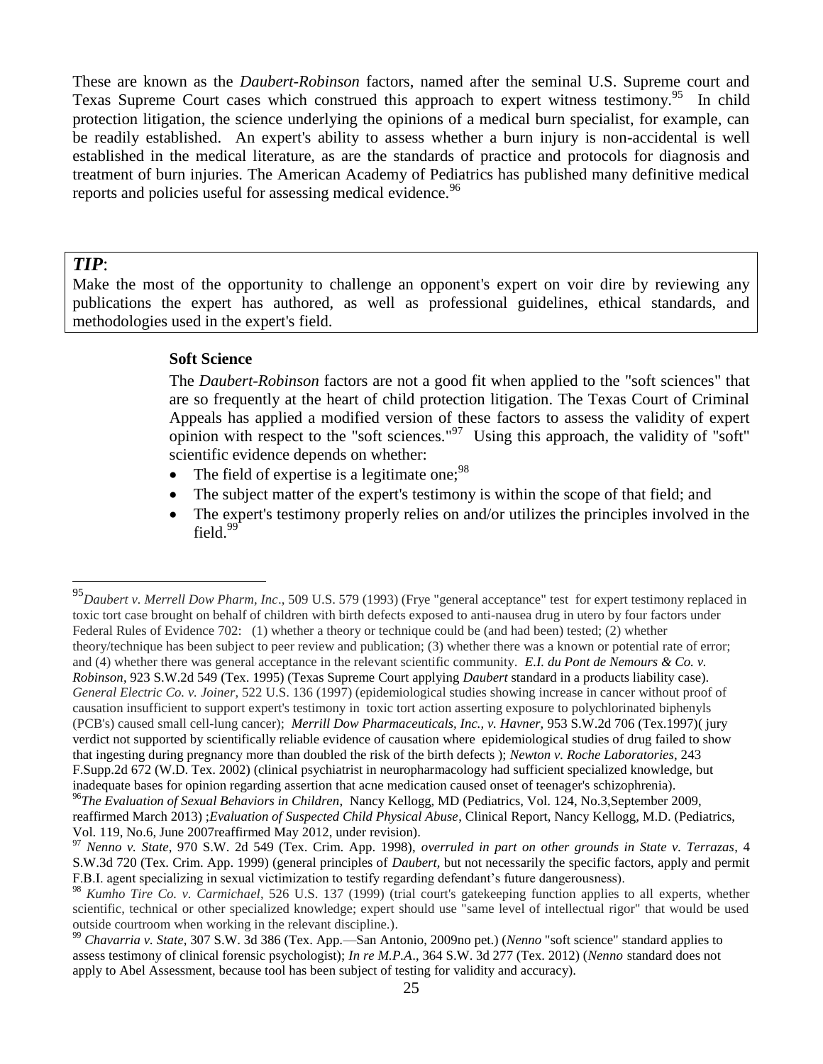These are known as the *Daubert-Robinson* factors, named after the seminal U.S. Supreme court and Texas Supreme Court cases which construed this approach to expert witness testimony.<sup>95</sup> In child protection litigation, the science underlying the opinions of a medical burn specialist, for example, can be readily established. An expert's ability to assess whether a burn injury is non-accidental is well established in the medical literature, as are the standards of practice and protocols for diagnosis and treatment of burn injuries. The American Academy of Pediatrics has published many definitive medical reports and policies useful for assessing medical evidence.<sup>96</sup>

#### *TIP*:

<span id="page-24-0"></span>Make the most of the opportunity to challenge an opponent's expert on voir dire by reviewing any publications the expert has authored, as well as professional guidelines, ethical standards, and methodologies used in the expert's field.

#### **Soft Science**

The *Daubert-Robinson* factors are not a good fit when applied to the "soft sciences" that are so frequently at the heart of child protection litigation. The Texas Court of Criminal Appeals has applied a modified version of these factors to assess the validity of expert opinion with respect to the "soft sciences."<sup>97</sup> Using this approach, the validity of "soft" scientific evidence depends on whether:

- The field of expertise is a legitimate one;  $98$
- The subject matter of the expert's testimony is within the scope of that field; and
- The expert's testimony properly relies on and/or utilizes the principles involved in the field.<sup>99</sup>

 $\overline{a}$ <sup>95</sup>*Daubert v. Merrell Dow Pharm, Inc*., 509 U.S. 579 (1993) (Frye "general acceptance" test for expert testimony replaced in toxic tort case brought on behalf of children with birth defects exposed to anti-nausea drug in utero by four factors under Federal Rules of Evidence 702: (1) whether a theory or technique could be (and had been) tested; (2) whether theory/technique has been subject to peer review and publication; (3) whether there was a known or potential rate of error; and (4) whether there was general acceptance in the relevant scientific community. *E.I. du Pont de Nemours & Co. v. Robinson*, 923 S.W.2d 549 (Tex. 1995) (Texas Supreme Court applying *Daubert* standard in a products liability case). *General Electric Co. v. Joiner*, 522 U.S. 136 (1997) (epidemiological studies showing increase in cancer without proof of causation insufficient to support expert's testimony in toxic tort action asserting exposure to polychlorinated biphenyls (PCB's) caused small cell-lung cancer); *[Merrill Dow Pharmaceuticals, Inc., v. Havner,](http://www.westlaw.com/Link/Document/FullText?findType=Y&serNum=1997145147&pubNum=713&originationContext=document&vr=3.0&rs=cblt1.0&transitionType=DocumentItem&contextData=(sc.Keycite))* 953 S.W.2d 706 (Tex.1997)( jury verdict not supported by scientifically reliable evidence of causation where epidemiological studies of drug failed to show that ingesting during pregnancy more than doubled the risk of the birth defects ); *Newton v. Roche Laboratories*, 243 F.Supp.2d 672 (W.D. Tex. 2002) (clinical psychiatrist in neuropharmacology had sufficient specialized knowledge, but inadequate bases for opinion regarding assertion that acne medication caused onset of teenager's schizophrenia).

<sup>96</sup>*The Evaluation of Sexual Behaviors in Children*, Nancy Kellogg, MD (Pediatrics, Vol. 124, No.3,September 2009, reaffirmed March 2013) ;*Evaluation of Suspected Child Physical Abuse*, Clinical Report, Nancy Kellogg, M.D. (Pediatrics, Vol. 119, No.6, June 2007reaffirmed May 2012, under revision).

<sup>97</sup> *Nenno v. State*, 970 S.W. 2d 549 (Tex. Crim. App. 1998), *overruled in part on other grounds in State v. Terrazas*, 4 S.W.3d 720 (Tex. Crim. App. 1999) (general principles of *Daubert,* but not necessarily the specific factors, apply and permit F.B.I. agent specializing in sexual victimization to testify regarding defendant's future dangerousness).

<sup>98</sup> *Kumho Tire Co. v. Carmichael*, 526 U.S. 137 (1999) (trial court's gatekeeping function applies to all experts, whether scientific, technical or other specialized knowledge; expert should use "same level of intellectual rigor" that would be used outside courtroom when working in the relevant discipline.).

<sup>99</sup> *Chavarria v. State*, 307 S.W. 3d 386 (Tex. App.—San Antonio, 2009no pet.) (*Nenno* "soft science" standard applies to assess testimony of clinical forensic psychologist); *In re M.P.A*., 364 S.W. 3d 277 (Tex. 2012) (*Nenno* standard does not apply to Abel Assessment, because tool has been subject of testing for validity and accuracy).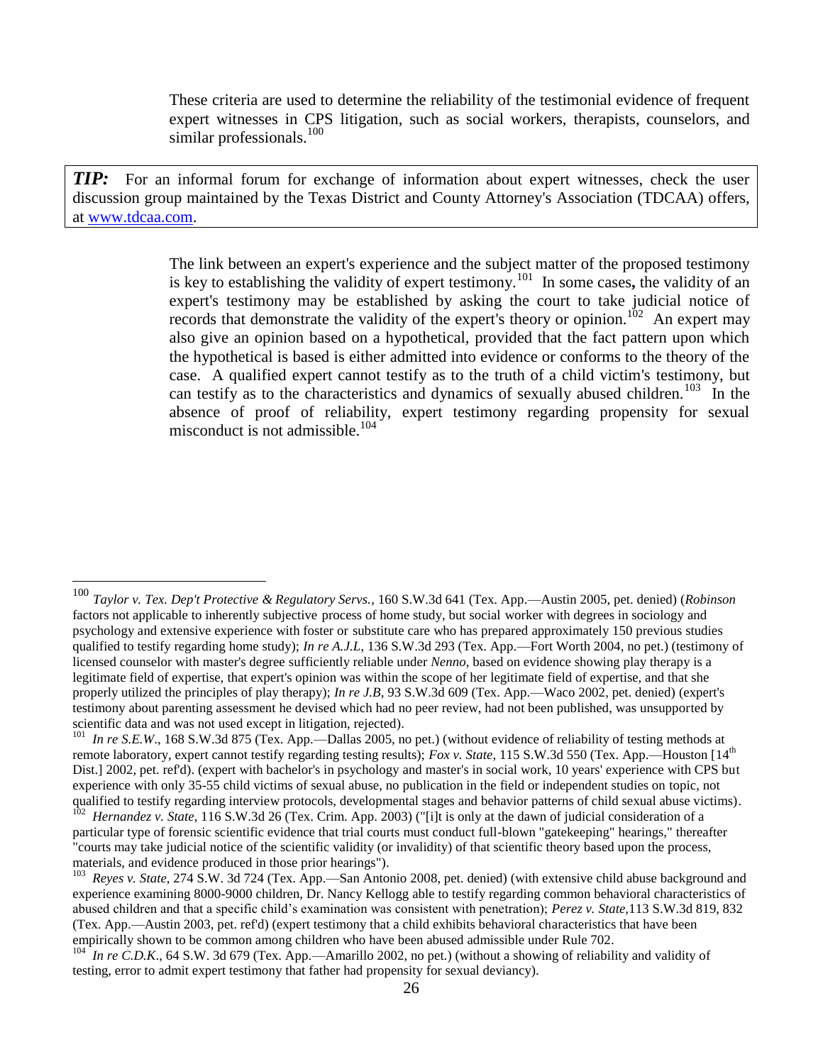These criteria are used to determine the reliability of the testimonial evidence of frequent expert witnesses in CPS litigation, such as social workers, therapists, counselors, and similar professionals.<sup>100</sup>

*TIP:* For an informal forum for exchange of information about expert witnesses, check the user discussion group maintained by the Texas District and County Attorney's Association (TDCAA) offers, at [www.tdcaa.com.](http://www.tdcaa.com/)

> The link between an expert's experience and the subject matter of the proposed testimony is key to establishing the validity of expert testimony.<sup>101</sup> In some cases**,** the validity of an expert's testimony may be established by asking the court to take judicial notice of records that demonstrate the validity of the expert's theory or opinion.<sup>102</sup> An expert may also give an opinion based on a hypothetical, provided that the fact pattern upon which the hypothetical is based is either admitted into evidence or conforms to the theory of the case. A qualified expert cannot testify as to the truth of a child victim's testimony, but can testify as to the characteristics and dynamics of sexually abused children.<sup>103</sup> In the absence of proof of reliability, expert testimony regarding propensity for sexual misconduct is not admissible.<sup>104</sup>

<sup>100</sup> *Taylor v. Tex. Dep't Protective & Regulatory Servs.*, 160 S.W.3d 641 (Tex. App.—Austin 2005, pet. denied) (*Robinson* factors not applicable to inherently subjective process of home study, but social worker with degrees in sociology and psychology and extensive experience with foster or substitute care who has prepared approximately 150 previous studies qualified to testify regarding home study); *In re A.J.L*, 136 S.W.3d 293 (Tex. App.—Fort Worth 2004, no pet.) (testimony of licensed counselor with master's degree sufficiently reliable under *Nenno*, based on evidence showing play therapy is a legitimate field of expertise, that expert's opinion was within the scope of her legitimate field of expertise, and that she properly utilized the principles of play therapy); *In re J.B*, 93 S.W.3d 609 (Tex. App.—Waco 2002, pet. denied) (expert's testimony about parenting assessment he devised which had no peer review, had not been published, was unsupported by scientific data and was not used except in litigation, rejected).

<sup>&</sup>lt;sup>101</sup> In re S.E.W., 168 S.W.3d 875 (Tex. App.—Dallas 2005, no pet.) (without evidence of reliability of testing methods at remote laboratory, expert cannot testify regarding testing results); *Fox v. State*, 115 S.W.3d 550 (Tex. App.—Houston [14<sup>th</sup>] Dist.] 2002, pet. ref'd). (expert with bachelor's in psychology and master's in social work, 10 years' experience with CPS but experience with only 35-55 child victims of sexual abuse, no publication in the field or independent studies on topic, not qualified to testify regarding interview protocols, developmental stages and behavior patterns of child sexual abuse victims).

<sup>&</sup>lt;sup>102</sup> Hernandez v. State, 116 S.W.3d 26 (Tex. Crim. App. 2003) ("[i]t is only at the dawn of judicial consideration of a particular type of forensic scientific evidence that trial courts must conduct full-blown "gatekeeping" hearings," thereafter "courts may take judicial notice of the scientific validity (or invalidity) of that scientific theory based upon the process, materials, and evidence produced in those prior hearings").

<sup>103</sup> *Reyes v. State,* 274 S.W. 3d 724 (Tex. App.—San Antonio 2008, pet. denied) (with extensive child abuse background and experience examining 8000-9000 children, Dr. Nancy Kellogg able to testify regarding common behavioral characteristics of abused children and that a specific child's examination was consistent with penetration); *Perez v. State,*113 S.W.3d 819, 832 (Tex. App.—Austin 2003, pet. ref'd) (expert testimony that a child exhibits behavioral characteristics that have been empirically shown to be common among children who have been abused admissible under Rule 702.

 $^{104}$  *In re C.D.K.*, 64 S.W. 3d 679 (Tex. App.—Amarillo 2002, no pet.) (without a showing of reliability and validity of testing, error to admit expert testimony that father had propensity for sexual deviancy).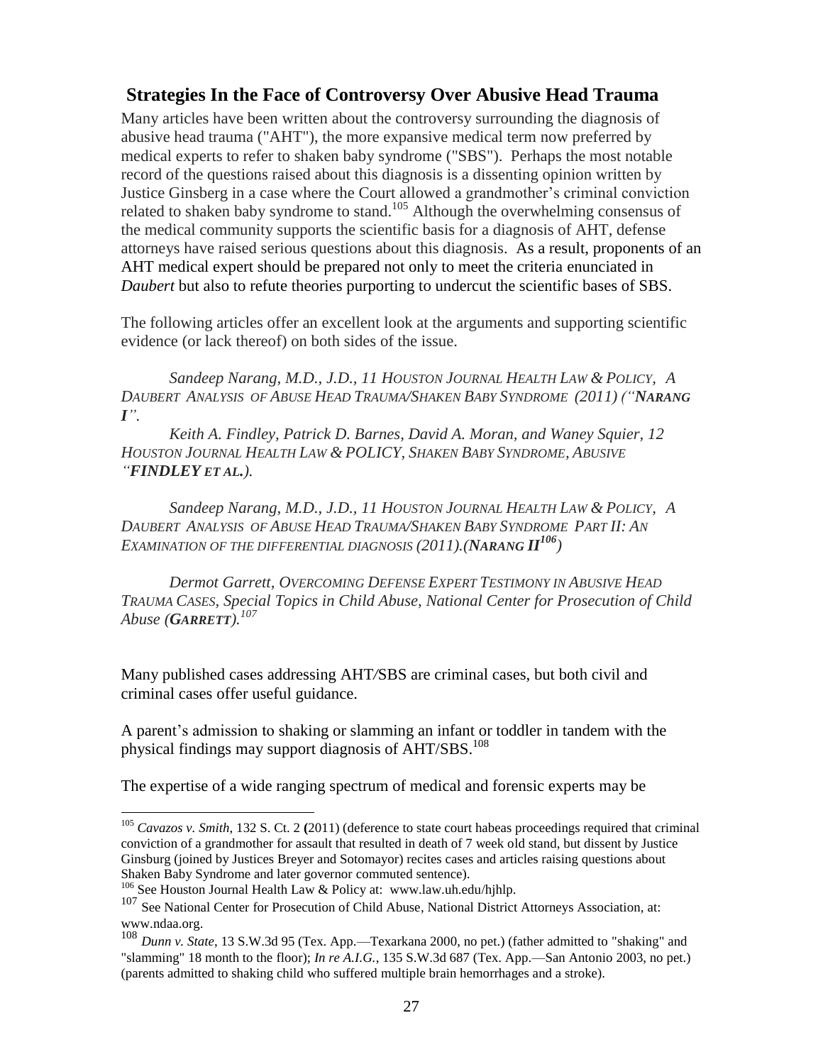## <span id="page-26-0"></span>**Strategies In the Face of Controversy Over Abusive Head Trauma**

Many articles have been written about the controversy surrounding the diagnosis of abusive head trauma ("AHT"), the more expansive medical term now preferred by medical experts to refer to shaken baby syndrome ("SBS"). Perhaps the most notable record of the questions raised about this diagnosis is a dissenting opinion written by Justice Ginsberg in a case where the Court allowed a grandmother's criminal conviction related to shaken baby syndrome to stand.<sup>105</sup> Although the overwhelming consensus of the medical community supports the scientific basis for a diagnosis of AHT, defense attorneys have raised serious questions about this diagnosis. As a result, proponents of an AHT medical expert should be prepared not only to meet the criteria enunciated in *Daubert* but also to refute theories purporting to undercut the scientific bases of SBS.

The following articles offer an excellent look at the arguments and supporting scientific evidence (or lack thereof) on both sides of the issue.

*Sandeep Narang, M.D., J.D., 11 HOUSTON JOURNAL HEALTH LAW & POLICY, A DAUBERT ANALYSIS OF ABUSE HEAD TRAUMA/SHAKEN BABY SYNDROME (2011) ("NARANG I".*

*Keith A. Findley, Patrick D. Barnes, David A. Moran, and Waney Squier, 12 HOUSTON JOURNAL HEALTH LAW & POLICY, SHAKEN BABY SYNDROME, ABUSIVE "FINDLEY ET AL.).*

*Sandeep Narang, M.D., J.D., 11 HOUSTON JOURNAL HEALTH LAW & POLICY, A* DAUBERT ANALYSIS OF ABUSE HEAD TRAUMA/SHAKEN BABY SYNDROME PART II: AN *EXAMINATION OF THE DIFFERENTIAL DIAGNOSIS (2011).(NARANG II<sup>106</sup>)*

*Dermot Garrett, OVERCOMING DEFENSE EXPERT TESTIMONY IN ABUSIVE HEAD TRAUMA CASES, Special Topics in Child Abuse, National Center for Prosecution of Child Abuse (GARRETT).<sup>107</sup>*

Many published cases addressing AHT*/*SBS are criminal cases, but both civil and criminal cases offer useful guidance.

A parent's admission to shaking or slamming an infant or toddler in tandem with the physical findings may support diagnosis of AHT/SBS.<sup>108</sup>

The expertise of a wide ranging spectrum of medical and forensic experts may be

<sup>105</sup> *Cavazos v. Smith*, 132 S. Ct. 2 **(**2011) (deference to state court habeas proceedings required that criminal conviction of a grandmother for assault that resulted in death of 7 week old stand, but dissent by Justice Ginsburg (joined by Justices Breyer and Sotomayor) recites cases and articles raising questions about Shaken Baby Syndrome and later governor commuted sentence).

<sup>106</sup> See Houston Journal Health Law & Policy at: www.law.uh.edu/hjhlp.

<sup>107</sup> See National Center for Prosecution of Child Abuse, National District Attorneys Association, at: www.ndaa.org.

<sup>108</sup> *Dunn v. State*, 13 S.W.3d 95 (Tex. App.—Texarkana 2000, no pet.) (father admitted to "shaking" and "slamming" 18 month to the floor); *In re A.I.G.*, 135 S.W.3d 687 (Tex. App.—San Antonio 2003, no pet.) (parents admitted to shaking child who suffered multiple brain hemorrhages and a stroke).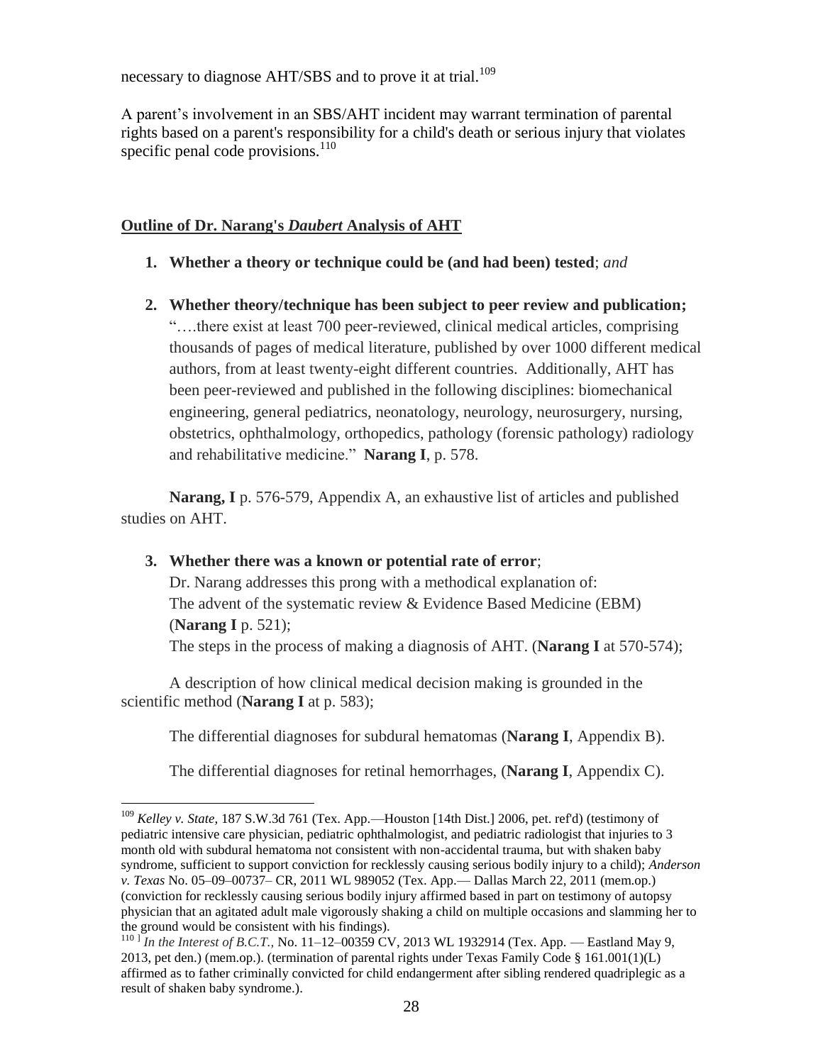necessary to diagnose AHT/SBS and to prove it at trial.<sup>109</sup>

A parent's involvement in an SBS/AHT incident may warrant termination of parental rights based on a parent's responsibility for a child's death or serious injury that violates specific penal code provisions. $110$ 

## **Outline of Dr. Narang's** *Daubert* **Analysis of AHT**

**1. Whether a theory or technique could be (and had been) tested**; *and*

**2. Whether theory/technique has been subject to peer review and publication;** "….there exist at least 700 peer-reviewed, clinical medical articles, comprising thousands of pages of medical literature, published by over 1000 different medical authors, from at least twenty-eight different countries. Additionally, AHT has been peer-reviewed and published in the following disciplines: biomechanical engineering, general pediatrics, neonatology, neurology, neurosurgery, nursing, obstetrics, ophthalmology, orthopedics, pathology (forensic pathology) radiology and rehabilitative medicine." **Narang I**, p. 578.

**Narang, I** p. 576-579, Appendix A, an exhaustive list of articles and published studies on AHT.

## **3. Whether there was a known or potential rate of error**;

 $\overline{a}$ 

Dr. Narang addresses this prong with a methodical explanation of: The advent of the systematic review & Evidence Based Medicine (EBM) (**Narang I** p. 521); The steps in the process of making a diagnosis of AHT. (**Narang I** at 570-574);

A description of how clinical medical decision making is grounded in the scientific method (**Narang I** at p. 583);

The differential diagnoses for subdural hematomas (**Narang I**, Appendix B).

The differential diagnoses for retinal hemorrhages, (**Narang I**, Appendix C).

<sup>109</sup> *Kelley v. State*, 187 S.W.3d 761 (Tex. App.—Houston [14th Dist.] 2006, pet. ref'd) (testimony of pediatric intensive care physician, pediatric ophthalmologist, and pediatric radiologist that injuries to 3 month old with subdural hematoma not consistent with non-accidental trauma, but with shaken baby syndrome, sufficient to support conviction for recklessly causing serious bodily injury to a child); *Anderson v. Texas* No. 05–09–00737– CR, 2011 WL 989052 (Tex. App.— Dallas March 22, 2011 (mem.op.) (conviction for recklessly causing serious bodily injury affirmed based in part on testimony of autopsy physician that an agitated adult male vigorously shaking a child on multiple occasions and slamming her to the ground would be consistent with his findings).

<sup>110</sup> ] *In the Interest of B.C.T.,* No. 11–12–00359 CV, 2013 WL 1932914 (Tex. App. — Eastland May 9, 2013, pet den.) (mem.op.). (termination of parental rights under Texas Family Code § 161.001(1)(L) affirmed as to father criminally convicted for child endangerment after sibling rendered quadriplegic as a result of shaken baby syndrome.).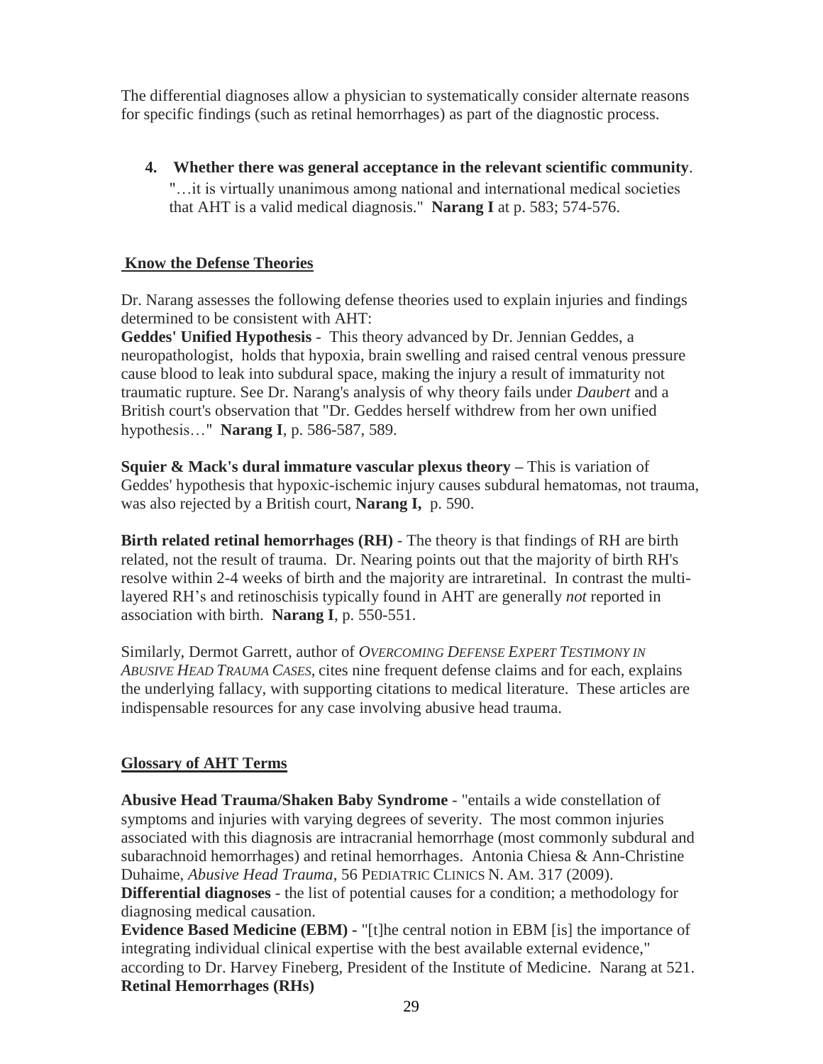The differential diagnoses allow a physician to systematically consider alternate reasons for specific findings (such as retinal hemorrhages) as part of the diagnostic process.

**4. Whether there was general acceptance in the relevant scientific community**. "…it is virtually unanimous among national and international medical societies that AHT is a valid medical diagnosis." **Narang I** at p. 583; 574-576.

## **Know the Defense Theories**

Dr. Narang assesses the following defense theories used to explain injuries and findings determined to be consistent with AHT:

**Geddes' Unified Hypothesis** - This theory advanced by Dr. Jennian Geddes, a neuropathologist, holds that hypoxia, brain swelling and raised central venous pressure cause blood to leak into subdural space, making the injury a result of immaturity not traumatic rupture. See Dr. Narang's analysis of why theory fails under *Daubert* and a British court's observation that "Dr. Geddes herself withdrew from her own unified hypothesis…" **Narang I**, p. 586-587, 589.

**Squier & Mack's dural immature vascular plexus theory –** This is variation of Geddes' hypothesis that hypoxic-ischemic injury causes subdural hematomas, not trauma, was also rejected by a British court, **Narang I,** p. 590.

**Birth related retinal hemorrhages (RH)** - The theory is that findings of RH are birth related, not the result of trauma. Dr. Nearing points out that the majority of birth RH's resolve within 2-4 weeks of birth and the majority are intraretinal. In contrast the multilayered RH's and retinoschisis typically found in AHT are generally *not* reported in association with birth. **Narang I**, p. 550-551.

Similarly, Dermot Garrett*,* author of *OVERCOMING DEFENSE EXPERT TESTIMONY IN ABUSIVE HEAD TRAUMA CASES*, cites nine frequent defense claims and for each, explains the underlying fallacy, with supporting citations to medical literature. These articles are indispensable resources for any case involving abusive head trauma.

## **Glossary of AHT Terms**

**Abusive Head Trauma/Shaken Baby Syndrome** - "entails a wide constellation of symptoms and injuries with varying degrees of severity. The most common injuries associated with this diagnosis are intracranial hemorrhage (most commonly subdural and subarachnoid hemorrhages) and retinal hemorrhages. Antonia Chiesa & Ann-Christine Duhaime, *Abusive Head Trauma*, 56 PEDIATRIC CLINICS N. AM. 317 (2009).

**Differential diagnoses** - the list of potential causes for a condition; a methodology for diagnosing medical causation.

**Evidence Based Medicine (EBM) -** "[t]he central notion in EBM [is] the importance of integrating individual clinical expertise with the best available external evidence," according to Dr. Harvey Fineberg, President of the Institute of Medicine. Narang at 521. **Retinal Hemorrhages (RHs)**